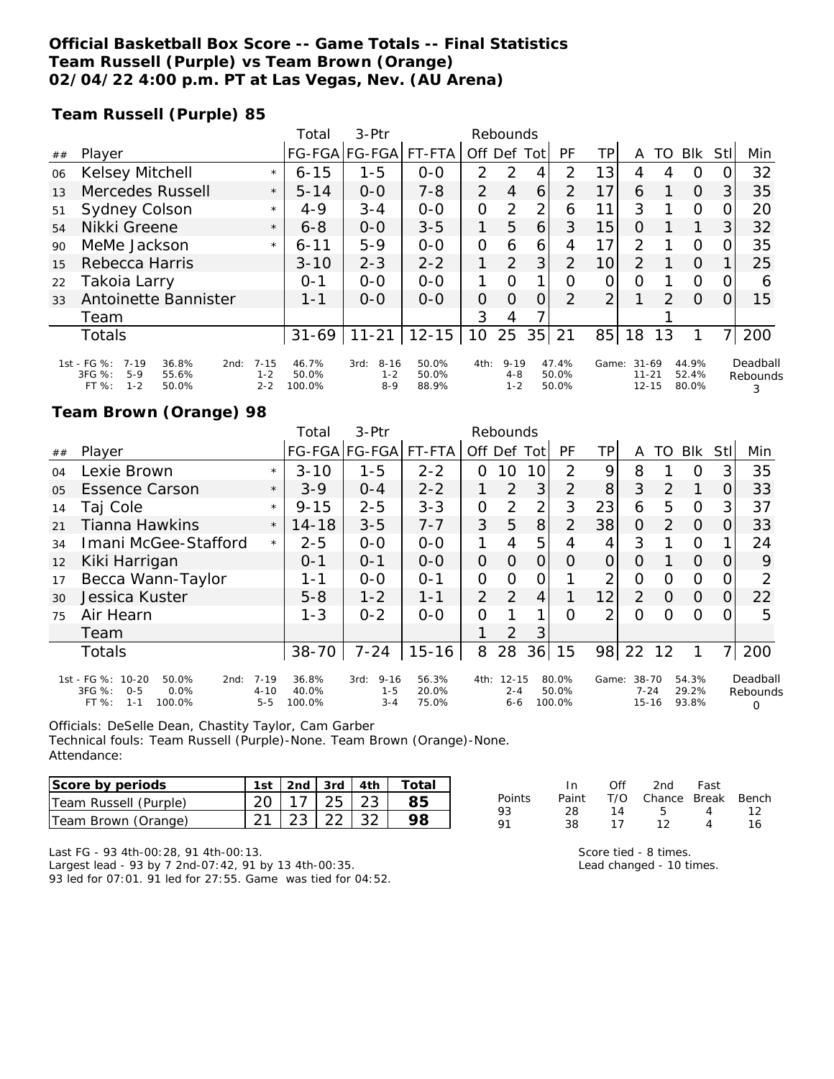### **Official Basketball Box Score -- Game Totals -- Final Statistics Team Russell (Purple) vs Team Brown (Orange) 02/04/22 4:00 p.m. PT at Las Vegas, Nev. (AU Arena)**

**Team Russell (Purple) 85**

|    |                                                                                                 |                                | Total                    | 3-Ptr                                  |                         | Rebounds       |                                |          |                         |                |                                     |               |                         |      |                           |
|----|-------------------------------------------------------------------------------------------------|--------------------------------|--------------------------|----------------------------------------|-------------------------|----------------|--------------------------------|----------|-------------------------|----------------|-------------------------------------|---------------|-------------------------|------|---------------------------|
| ## | Player                                                                                          |                                | <b>FG-FGA</b>            | FG-FGA                                 | FT-FTA                  | Off Def        |                                | Tot      | PF                      | ΤP             | Α                                   | TO            | <b>BIK</b>              | Stll | Min                       |
| 06 | Kelsey Mitchell                                                                                 | $\star$                        | $6 - 15$                 | $1 - 5$                                | $0-0$                   | 2              | $\mathcal{P}$                  | 4        | 2                       | 13             | 4                                   | 4             | O                       | 0    | 32                        |
| 13 | Mercedes Russell                                                                                | $\star$                        | $5 - 14$                 | $0 - 0$                                | $7 - 8$                 | 2              | $\overline{4}$                 | 6        | 2                       | 17             | 6                                   |               | $\Omega$                | 3    | 35                        |
| 51 | Sydney Colson                                                                                   | $\star$                        | $4 - 9$                  | $3 - 4$                                | $0 - 0$                 | 0              | 2                              | 2        | 6                       | 11             | 3                                   |               | $\Omega$                | 0    | 20                        |
| 54 | Nikki Greene                                                                                    | $\star$                        | $6 - 8$                  | $0 - 0$                                | $3 - 5$                 | 1              | 5                              | 6        | 3                       | 15             | O                                   |               | 1                       | 3    | 32                        |
| 90 | MeMe Jackson                                                                                    | $\star$                        | $6 - 11$                 | $5-9$                                  | $0 - 0$                 | 0              | 6                              | 6        | 4                       | 17             | 2                                   |               | O                       | 0    | 35                        |
| 15 | Rebecca Harris                                                                                  |                                | $3 - 10$                 | $2 - 3$                                | $2 - 2$                 | 1              | 2                              | 3        | $\overline{2}$          | 10             | $\overline{2}$                      |               | $\Omega$                |      | 25                        |
| 22 | Takoia Larry                                                                                    |                                | $O - 1$                  | $0 - 0$                                | $O - O$                 | 1              | $\Omega$                       | 1        | O                       | 0              | $\Omega$                            |               | O                       | 0    | 6                         |
| 33 | Antoinette Bannister                                                                            |                                | $1 - 1$                  | $0 - 0$                                | $O-O$                   | $\overline{O}$ | $\Omega$                       | $\Omega$ | $\mathcal{P}$           | $\overline{2}$ |                                     | $\mathcal{P}$ | $\Omega$                | 0    | 15                        |
|    | Team                                                                                            |                                |                          |                                        |                         | 3              | 4                              |          |                         |                |                                     |               |                         |      |                           |
|    | <b>Totals</b>                                                                                   |                                | $31 - 69$                | $11 - 21$                              | $12 - 15$               | 10             | 25                             | 35       | 21                      | 85             | 18                                  | 13            |                         | 7.   | 200                       |
|    | 1st - FG %:<br>$7 - 19$<br>36.8%<br>2nd:<br>3FG %:<br>$5-9$<br>55.6%<br>$1 - 2$<br>FT%<br>50.0% | $7 - 15$<br>$1 - 2$<br>$2 - 2$ | 46.7%<br>50.0%<br>100.0% | $8 - 16$<br>3rd:<br>$1 - 2$<br>$8 - 9$ | 50.0%<br>50.0%<br>88.9% | 4th:           | $9 - 19$<br>$4 - 8$<br>$1 - 2$ |          | 47.4%<br>50.0%<br>50.0% | Game:          | $31 - 69$<br>$11 - 21$<br>$12 - 15$ |               | 44.9%<br>52.4%<br>80.0% |      | Deadball<br>Rebounds<br>3 |

### **Team Brown (Orange) 98**

|                |                                                                                               |                                 | Total                    | $3-$ Ptr                               | Rebounds                |                |                                 |                |                          |       |                                |                |                         |     |                           |
|----------------|-----------------------------------------------------------------------------------------------|---------------------------------|--------------------------|----------------------------------------|-------------------------|----------------|---------------------------------|----------------|--------------------------|-------|--------------------------------|----------------|-------------------------|-----|---------------------------|
| ##             | Player                                                                                        |                                 |                          | FG-FGA FG-FGA                          | FT-FTA                  | Off            | Def                             | Tot            | <b>PF</b>                | TP.   | A                              | TO             | <b>BIK</b>              | Stl | Min                       |
| 04             | Lexie Brown                                                                                   | $\star$                         | $3 - 10$                 | $1 - 5$                                | $2 - 2$                 | 0              | 10                              | 10             | 2                        | 9     | 8                              |                | Ο                       | 3   | 35                        |
| 0 <sub>5</sub> | <b>Essence Carson</b>                                                                         | $\star$                         | $3-9$                    | $0 - 4$                                | $2 - 2$                 |                | 2                               | 3              | 2                        | 8     | 3                              | $\mathcal{P}$  | 1                       | 0   | 33                        |
| 14             | Taj Cole                                                                                      | $\star$                         | $9 - 15$                 | $2 - 5$                                | $3 - 3$                 | 0              | $\overline{2}$                  | 2              | 3                        | 23    | 6                              | 5              | $\Omega$                | 3   | 37                        |
| 21             | Tianna Hawkins                                                                                | $\star$                         | $14 - 18$                | $3 - 5$                                | $7 - 7$                 | 3              | 5                               | 8              | 2                        | 38    | $\Omega$                       | $\overline{2}$ | $\Omega$                | Ω   | 33                        |
| 34             | Imani McGee-Stafford                                                                          | $\star$                         | $2 - 5$                  | $0 - 0$                                | $0-0$                   | 1              | 4                               | 5              | 4                        | 4     | 3                              |                | $\Omega$                |     | 24                        |
| 12             | Kiki Harrigan                                                                                 |                                 | $0 - 1$                  | $O - 1$                                | $0 - 0$                 | $\overline{O}$ | 0                               | 0              | 0                        | O     | O                              |                | $\Omega$                |     | 9                         |
| 17             | Becca Wann-Taylor                                                                             |                                 | 1-1                      | $0 - 0$                                | $O - 1$                 | $\overline{O}$ | O                               | 0              |                          | 2     | Ο                              | O              | 0                       | O   | 2                         |
| 30             | Jessica Kuster                                                                                |                                 | $5 - 8$                  | $1 - 2$                                | $1 - 1$                 | $\overline{2}$ | 2                               | $\overline{4}$ |                          | 12    | 2                              | O              | $\Omega$                | 0   | 22                        |
| 75             | Air Hearn                                                                                     |                                 | $1 - 3$                  | $0 - 2$                                | $0 - 0$                 | 0              |                                 | 1              | Ω                        | 2     | Ω                              | Ω              | 0                       |     | 5                         |
|                | Team                                                                                          |                                 |                          |                                        |                         |                | 2                               | 3              |                          |       |                                |                |                         |     |                           |
|                | Totals                                                                                        |                                 | 38-70                    | $7 - 24$                               | $15 - 16$               | 8              | 28                              | 36             | 15                       | 98    | 22                             | 12             | 1                       | 7   | 200                       |
|                | 1st - FG %: 10-20<br>50.0%<br>2nd:<br>3FG %:<br>0.0%<br>$0 - 5$<br>100.0%<br>FT %:<br>$1 - 1$ | $7 - 19$<br>$4 - 10$<br>$5 - 5$ | 36.8%<br>40.0%<br>100.0% | $9 - 16$<br>3rd:<br>$1 - 5$<br>$3 - 4$ | 56.3%<br>20.0%<br>75.0% | 4th:           | $12 - 15$<br>$2 - 4$<br>$6 - 6$ |                | 80.0%<br>50.0%<br>100.0% | Game: | 38-70<br>$7 - 24$<br>$15 - 16$ |                | 54.3%<br>29.2%<br>93.8% |     | Deadball<br>Rebounds<br>O |

Officials: DeSelle Dean, Chastity Taylor, Cam Garber Technical fouls: Team Russell (Purple)-None. Team Brown (Orange)-None. Attendance:

| Score by periods      | 1st   2nd   3rd   4th $\vert$ |  | Total |
|-----------------------|-------------------------------|--|-------|
| Team Russell (Purple) | $20$   17   25   23           |  |       |
| Team Brown (Orange)   | $21 \mid 23 \mid 22 \mid 32$  |  |       |

|        | In. | Off | 2nd Fast                     |                |    |
|--------|-----|-----|------------------------------|----------------|----|
| Points |     |     | Paint T/O Chance Break Bench |                |    |
| 93     | 28. | 14  | -5-                          | $\overline{4}$ | 12 |
| 91     | 38. | 17  | 12                           | Δ              | 16 |
|        |     |     |                              |                |    |

Last FG - 93 4th-00:28, 91 4th-00:13. Largest lead - 93 by 7 2nd-07:42, 91 by 13 4th-00:35.

93 led for 07:01. 91 led for 27:55. Game was tied for 04:52.

| Score tied - 8 times.    |
|--------------------------|
| Lead changed - 10 times. |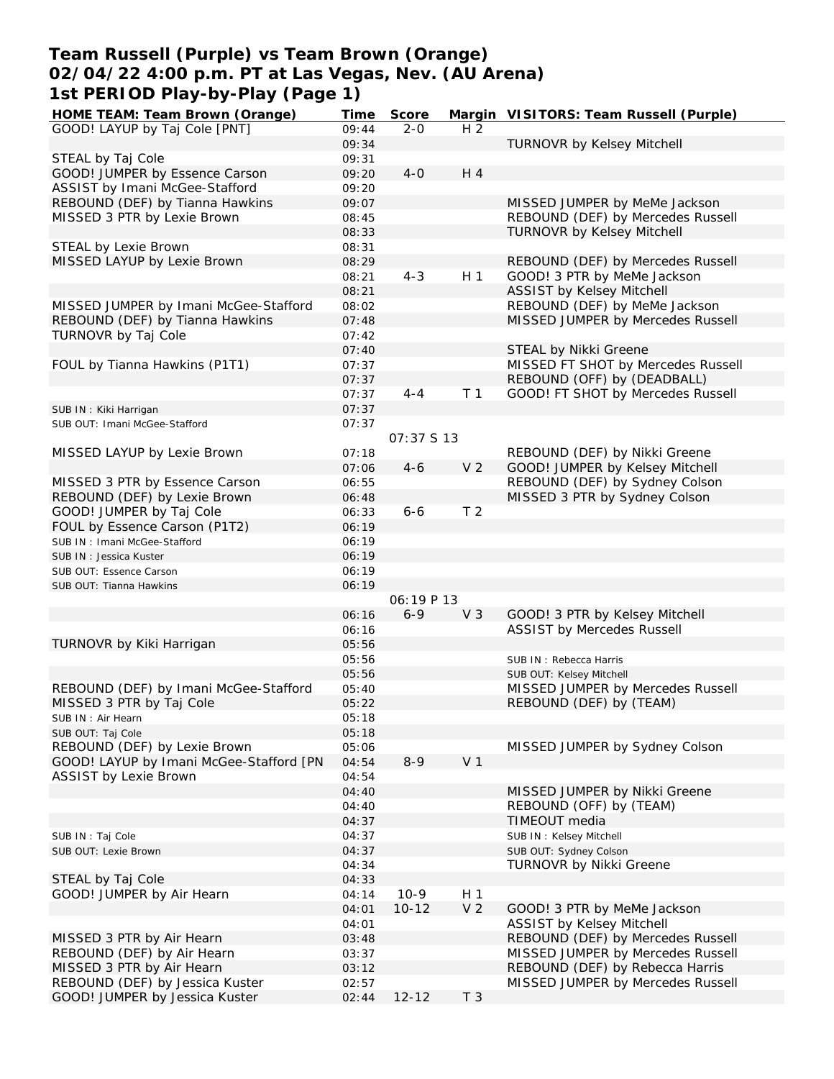### **Team Russell (Purple) vs Team Brown (Orange) 02/04/22 4:00 p.m. PT at Las Vegas, Nev. (AU Arena) 1st PERIOD Play-by-Play (Page 1)**

| HOME TEAM: Team Brown (Orange)          | Time  | Score       |                | Margin VISITORS: Team Russell (Purple) |
|-----------------------------------------|-------|-------------|----------------|----------------------------------------|
| GOOD! LAYUP by Taj Cole [PNT]           | 09:44 | $2 - 0$     | H <sub>2</sub> |                                        |
|                                         | 09:34 |             |                | <b>TURNOVR by Kelsey Mitchell</b>      |
| STEAL by Taj Cole                       | 09:31 |             |                |                                        |
| GOOD! JUMPER by Essence Carson          | 09:20 | $4-0$       | H 4            |                                        |
| ASSIST by Imani McGee-Stafford          | 09:20 |             |                |                                        |
| REBOUND (DEF) by Tianna Hawkins         | 09:07 |             |                | MISSED JUMPER by MeMe Jackson          |
| MISSED 3 PTR by Lexie Brown             | 08:45 |             |                | REBOUND (DEF) by Mercedes Russell      |
|                                         | 08:33 |             |                | <b>TURNOVR by Kelsey Mitchell</b>      |
| STEAL by Lexie Brown                    | 08:31 |             |                |                                        |
| MISSED LAYUP by Lexie Brown             | 08:29 |             |                | REBOUND (DEF) by Mercedes Russell      |
|                                         | 08:21 | $4 - 3$     | H <sub>1</sub> | GOOD! 3 PTR by MeMe Jackson            |
|                                         | 08:21 |             |                | <b>ASSIST by Kelsey Mitchell</b>       |
| MISSED JUMPER by Imani McGee-Stafford   | 08:02 |             |                | REBOUND (DEF) by MeMe Jackson          |
| REBOUND (DEF) by Tianna Hawkins         | 07:48 |             |                | MISSED JUMPER by Mercedes Russell      |
| TURNOVR by Taj Cole                     | 07:42 |             |                |                                        |
|                                         | 07:40 |             |                | STEAL by Nikki Greene                  |
| FOUL by Tianna Hawkins (P1T1)           | 07:37 |             |                | MISSED FT SHOT by Mercedes Russell     |
|                                         | 07:37 |             |                | REBOUND (OFF) by (DEADBALL)            |
|                                         | 07:37 | $4 - 4$     | T <sub>1</sub> | GOOD! FT SHOT by Mercedes Russell      |
| SUB IN: Kiki Harrigan                   | 07:37 |             |                |                                        |
| SUB OUT: Imani McGee-Stafford           | 07:37 |             |                |                                        |
|                                         |       | 07:37 \$ 13 |                |                                        |
| MISSED LAYUP by Lexie Brown             | 07:18 |             |                | REBOUND (DEF) by Nikki Greene          |
|                                         | 07:06 | $4 - 6$     | V <sub>2</sub> | GOOD! JUMPER by Kelsey Mitchell        |
|                                         |       |             |                |                                        |
| MISSED 3 PTR by Essence Carson          | 06:55 |             |                | REBOUND (DEF) by Sydney Colson         |
| REBOUND (DEF) by Lexie Brown            | 06:48 |             | T <sub>2</sub> | MISSED 3 PTR by Sydney Colson          |
| GOOD! JUMPER by Taj Cole                | 06:33 | $6 - 6$     |                |                                        |
| FOUL by Essence Carson (P1T2)           | 06:19 |             |                |                                        |
| SUB IN: Imani McGee-Stafford            | 06:19 |             |                |                                        |
| SUB IN: Jessica Kuster                  | 06:19 |             |                |                                        |
| SUB OUT: Essence Carson                 | 06:19 |             |                |                                        |
| SUB OUT: Tianna Hawkins                 | 06:19 |             |                |                                        |
|                                         |       | 06:19P13    |                |                                        |
|                                         | 06:16 | $6 - 9$     | V <sub>3</sub> | GOOD! 3 PTR by Kelsey Mitchell         |
|                                         | 06:16 |             |                | <b>ASSIST by Mercedes Russell</b>      |
| TURNOVR by Kiki Harrigan                | 05:56 |             |                |                                        |
|                                         | 05:56 |             |                | SUB IN: Rebecca Harris                 |
|                                         | 05:56 |             |                | SUB OUT: Kelsey Mitchell               |
| REBOUND (DEF) by Imani McGee-Stafford   | 05:40 |             |                | MISSED JUMPER by Mercedes Russell      |
| MISSED 3 PTR by Taj Cole                | 05:22 |             |                | REBOUND (DEF) by (TEAM)                |
| SUB IN: Air Hearn                       | 05:18 |             |                |                                        |
| SUB OUT: Taj Cole                       | 05:18 |             |                |                                        |
| REBOUND (DEF) by Lexie Brown            | 05:06 |             |                | MISSED JUMPER by Sydney Colson         |
| GOOD! LAYUP by Imani McGee-Stafford [PN | 04:54 | $8 - 9$     | V <sub>1</sub> |                                        |
| <b>ASSIST by Lexie Brown</b>            | 04:54 |             |                |                                        |
|                                         | 04:40 |             |                | MISSED JUMPER by Nikki Greene          |
|                                         | 04:40 |             |                | REBOUND (OFF) by (TEAM)                |
|                                         | 04:37 |             |                | TIMEOUT media                          |
| SUB IN: Taj Cole                        | 04:37 |             |                | SUB IN: Kelsey Mitchell                |
| SUB OUT: Lexie Brown                    | 04:37 |             |                | SUB OUT: Sydney Colson                 |
|                                         | 04:34 |             |                | TURNOVR by Nikki Greene                |
| STEAL by Taj Cole                       | 04:33 |             |                |                                        |
| GOOD! JUMPER by Air Hearn               | 04:14 | $10-9$      | H 1            |                                        |
|                                         | 04:01 | $10 - 12$   | V <sub>2</sub> | GOOD! 3 PTR by MeMe Jackson            |
|                                         | 04:01 |             |                | <b>ASSIST by Kelsey Mitchell</b>       |
| MISSED 3 PTR by Air Hearn               | 03:48 |             |                | REBOUND (DEF) by Mercedes Russell      |
| REBOUND (DEF) by Air Hearn              | 03:37 |             |                | MISSED JUMPER by Mercedes Russell      |
| MISSED 3 PTR by Air Hearn               | 03:12 |             |                | REBOUND (DEF) by Rebecca Harris        |
| REBOUND (DEF) by Jessica Kuster         | 02:57 |             |                | MISSED JUMPER by Mercedes Russell      |
| GOOD! JUMPER by Jessica Kuster          | 02:44 | $12 - 12$   | T <sub>3</sub> |                                        |
|                                         |       |             |                |                                        |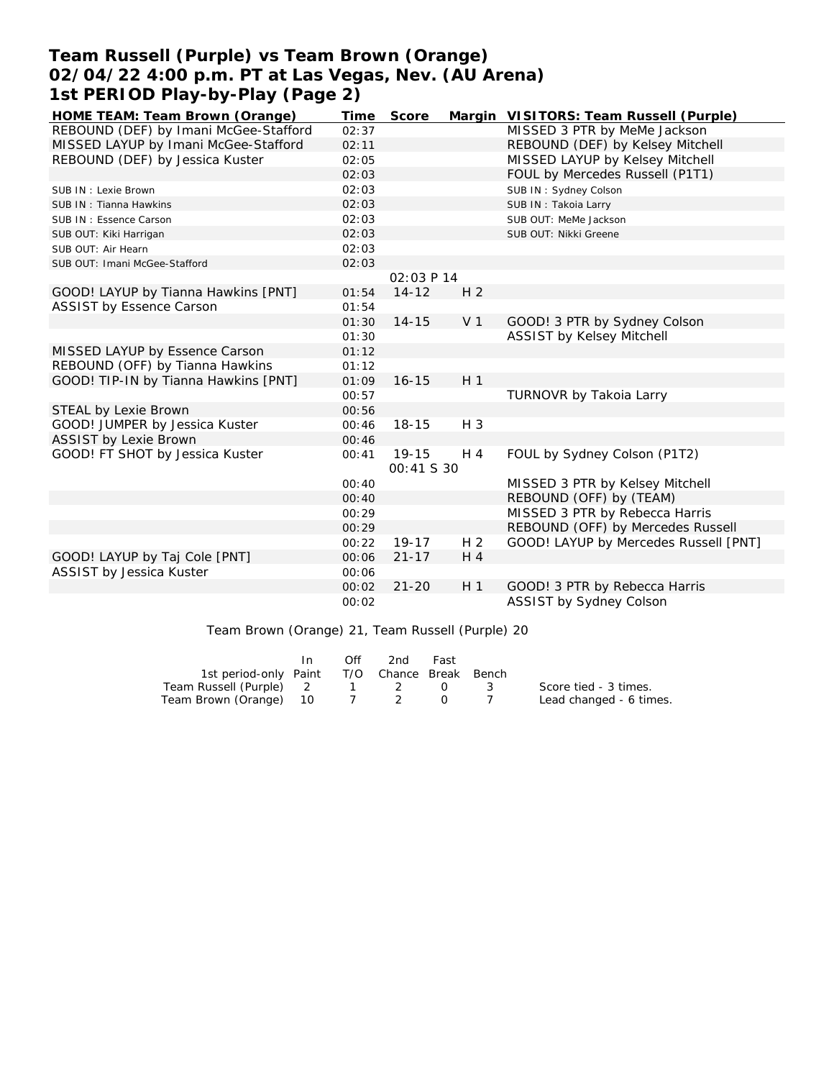## **Team Russell (Purple) vs Team Brown (Orange) 02/04/22 4:00 p.m. PT at Las Vegas, Nev. (AU Arena) 1st PERIOD Play-by-Play (Page 2)**

| HOME TEAM: Team Brown (Orange)        | Time  | Score                          |                | Margin VISITORS: Team Russell (Purple) |
|---------------------------------------|-------|--------------------------------|----------------|----------------------------------------|
| REBOUND (DEF) by Imani McGee-Stafford | 02:37 |                                |                | MISSED 3 PTR by MeMe Jackson           |
| MISSED LAYUP by Imani McGee-Stafford  | 02:11 |                                |                | REBOUND (DEF) by Kelsey Mitchell       |
| REBOUND (DEF) by Jessica Kuster       | 02:05 |                                |                | MISSED LAYUP by Kelsey Mitchell        |
|                                       | 02:03 |                                |                | FOUL by Mercedes Russell (P1T1)        |
| SUB IN : Lexie Brown                  | 02:03 |                                |                | SUB IN: Sydney Colson                  |
| SUB IN: Tianna Hawkins                | 02:03 |                                |                | SUB IN: Takoia Larry                   |
| SUB IN: Essence Carson                | 02:03 |                                |                | SUB OUT: MeMe Jackson                  |
| SUB OUT: Kiki Harrigan                | 02:03 |                                |                | SUB OUT: Nikki Greene                  |
| SUB OUT: Air Hearn                    | 02:03 |                                |                |                                        |
| SUB OUT: Imani McGee-Stafford         | 02:03 |                                |                |                                        |
|                                       |       | 02:03 P 14                     |                |                                        |
| GOOD! LAYUP by Tianna Hawkins [PNT]   | 01:54 | $14 - 12$                      | H <sub>2</sub> |                                        |
| <b>ASSIST by Essence Carson</b>       | 01:54 |                                |                |                                        |
|                                       | 01:30 | $14 - 15$                      | V <sub>1</sub> | GOOD! 3 PTR by Sydney Colson           |
|                                       | 01:30 |                                |                | ASSIST by Kelsey Mitchell              |
| MISSED LAYUP by Essence Carson        | 01:12 |                                |                |                                        |
| REBOUND (OFF) by Tianna Hawkins       | 01:12 |                                |                |                                        |
| GOOD! TIP-IN by Tianna Hawkins [PNT]  | 01:09 | $16 - 15$                      | H <sub>1</sub> |                                        |
|                                       | 00:57 |                                |                | TURNOVR by Takoia Larry                |
| STEAL by Lexie Brown                  | 00:56 |                                |                |                                        |
| GOOD! JUMPER by Jessica Kuster        | 00:46 | $18 - 15$                      | $H_3$          |                                        |
| <b>ASSIST by Lexie Brown</b>          | 00:46 |                                |                |                                        |
| GOOD! FT SHOT by Jessica Kuster       | 00:41 | $19 - 15$<br><i>00:41 S 30</i> | H 4            | FOUL by Sydney Colson (P1T2)           |
|                                       | 00:40 |                                |                | MISSED 3 PTR by Kelsey Mitchell        |
|                                       | 00:40 |                                |                | REBOUND (OFF) by (TEAM)                |
|                                       | 00:29 |                                |                | MISSED 3 PTR by Rebecca Harris         |
|                                       | 00:29 |                                |                | REBOUND (OFF) by Mercedes Russell      |
|                                       | 00:22 | $19 - 17$                      | H <sub>2</sub> | GOOD! LAYUP by Mercedes Russell [PNT]  |
| GOOD! LAYUP by Taj Cole [PNT]         | 00:06 | $21 - 17$                      | $H_4$          |                                        |
| ASSIST by Jessica Kuster              | 00:06 |                                |                |                                        |
|                                       | 00:02 | $21 - 20$                      | H <sub>1</sub> | GOOD! 3 PTR by Rebecca Harris          |
|                                       | 00:02 |                                |                | ASSIST by Sydney Colson                |

### Team Brown (Orange) 21, Team Russell (Purple) 20

|                                              | In. | Off | 2nd     | Fast |                         |
|----------------------------------------------|-----|-----|---------|------|-------------------------|
| 1st period-only Paint T/O Chance Break Bench |     |     |         |      |                         |
| Team Russell (Purple) 2                      |     |     | 1 2 0 3 |      | Score tied - 3 times.   |
| Team Brown (Orange) 10                       |     |     | 7 2 0   |      | Lead changed - 6 times. |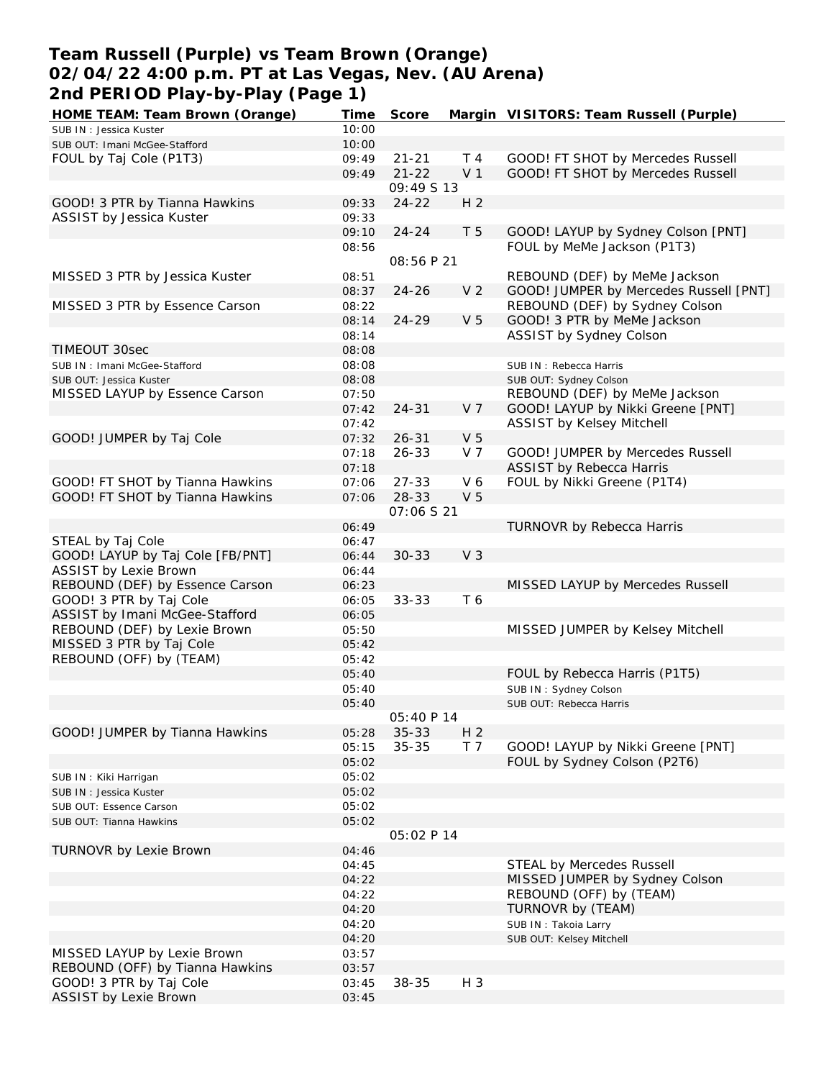### **Team Russell (Purple) vs Team Brown (Orange) 02/04/22 4:00 p.m. PT at Las Vegas, Nev. (AU Arena) 2nd PERIOD Play-by-Play (Page 1)**

| HOME TEAM: Team Brown (Orange)   | Time  | Score             |                | Margin VISITORS: Team Russell (Purple) |
|----------------------------------|-------|-------------------|----------------|----------------------------------------|
| SUB IN: Jessica Kuster           | 10:00 |                   |                |                                        |
| SUB OUT: Imani McGee-Stafford    | 10:00 |                   |                |                                        |
| FOUL by Taj Cole (P1T3)          | 09:49 | $21 - 21$         | T 4            | GOOD! FT SHOT by Mercedes Russell      |
|                                  | 09:49 | $21 - 22$         | V <sub>1</sub> | GOOD! FT SHOT by Mercedes Russell      |
|                                  |       | 09:49 S 13        |                |                                        |
|                                  |       |                   |                |                                        |
| GOOD! 3 PTR by Tianna Hawkins    | 09:33 | $24 - 22$         | H <sub>2</sub> |                                        |
| ASSIST by Jessica Kuster         | 09:33 |                   |                |                                        |
|                                  | 09:10 | $24 - 24$         | T 5            | GOOD! LAYUP by Sydney Colson [PNT]     |
|                                  | 08:56 |                   |                | FOUL by MeMe Jackson (P1T3)            |
|                                  |       | 08:56 P 21        |                |                                        |
| MISSED 3 PTR by Jessica Kuster   | 08:51 |                   |                | REBOUND (DEF) by MeMe Jackson          |
|                                  | 08:37 | $24 - 26$         | V <sub>2</sub> | GOOD! JUMPER by Mercedes Russell [PNT] |
| MISSED 3 PTR by Essence Carson   | 08:22 |                   |                | REBOUND (DEF) by Sydney Colson         |
|                                  | 08:14 | 24-29             | V <sub>5</sub> | GOOD! 3 PTR by MeMe Jackson            |
|                                  |       |                   |                |                                        |
|                                  | 08:14 |                   |                | ASSIST by Sydney Colson                |
| TIMEOUT 30sec                    | 08:08 |                   |                |                                        |
| SUB IN: Imani McGee-Stafford     | 08:08 |                   |                | SUB IN: Rebecca Harris                 |
| SUB OUT: Jessica Kuster          | 08:08 |                   |                | SUB OUT: Sydney Colson                 |
| MISSED LAYUP by Essence Carson   | 07:50 |                   |                | REBOUND (DEF) by MeMe Jackson          |
|                                  | 07:42 | $24 - 31$         | V <sub>7</sub> | GOOD! LAYUP by Nikki Greene [PNT]      |
|                                  | 07:42 |                   |                | <b>ASSIST by Kelsey Mitchell</b>       |
|                                  |       |                   |                |                                        |
| GOOD! JUMPER by Taj Cole         | 07:32 | $26 - 31$         | V <sub>5</sub> |                                        |
|                                  | 07:18 | $26 - 33$         | V <sub>7</sub> | GOOD! JUMPER by Mercedes Russell       |
|                                  | 07:18 |                   |                | <b>ASSIST by Rebecca Harris</b>        |
| GOOD! FT SHOT by Tianna Hawkins  | 07:06 | $27 - 33$         | V6             | FOUL by Nikki Greene (P1T4)            |
| GOOD! FT SHOT by Tianna Hawkins  | 07:06 | 28-33             | V <sub>5</sub> |                                        |
|                                  |       | 07:06 S 21        |                |                                        |
|                                  | 06:49 |                   |                | TURNOVR by Rebecca Harris              |
| STEAL by Taj Cole                | 06:47 |                   |                |                                        |
|                                  |       |                   |                |                                        |
| GOOD! LAYUP by Taj Cole [FB/PNT] | 06:44 | $30 - 33$         | V <sub>3</sub> |                                        |
| <b>ASSIST by Lexie Brown</b>     | 06:44 |                   |                |                                        |
| REBOUND (DEF) by Essence Carson  | 06:23 |                   |                | MISSED LAYUP by Mercedes Russell       |
| GOOD! 3 PTR by Taj Cole          | 06:05 | $33 - 33$         | T 6            |                                        |
| ASSIST by Imani McGee-Stafford   | 06:05 |                   |                |                                        |
| REBOUND (DEF) by Lexie Brown     | 05:50 |                   |                | MISSED JUMPER by Kelsey Mitchell       |
| MISSED 3 PTR by Taj Cole         | 05:42 |                   |                |                                        |
| REBOUND (OFF) by (TEAM)          | 05:42 |                   |                |                                        |
|                                  |       |                   |                |                                        |
|                                  | 05:40 |                   |                | FOUL by Rebecca Harris (P1T5)          |
|                                  | 05:40 |                   |                | SUB IN: Sydney Colson                  |
|                                  | 05:40 |                   |                | SUB OUT: Rebecca Harris                |
|                                  |       | <i>05:40 P 14</i> |                |                                        |
| GOOD! JUMPER by Tianna Hawkins   | 05:28 | $35 - 33$         | H <sub>2</sub> |                                        |
|                                  | 05:15 | $35 - 35$         | T <sub>7</sub> | GOOD! LAYUP by Nikki Greene [PNT]      |
|                                  | 05:02 |                   |                | FOUL by Sydney Colson (P2T6)           |
| SUB IN: Kiki Harrigan            | 05:02 |                   |                |                                        |
|                                  |       |                   |                |                                        |
| SUB IN: Jessica Kuster           | 05:02 |                   |                |                                        |
| SUB OUT: Essence Carson          | 05:02 |                   |                |                                        |
| SUB OUT: Tianna Hawkins          | 05:02 |                   |                |                                        |
|                                  |       | 05:02 P 14        |                |                                        |
| TURNOVR by Lexie Brown           | 04:46 |                   |                |                                        |
|                                  | 04:45 |                   |                | <b>STEAL by Mercedes Russell</b>       |
|                                  | 04:22 |                   |                | MISSED JUMPER by Sydney Colson         |
|                                  | 04:22 |                   |                | REBOUND (OFF) by (TEAM)                |
|                                  | 04:20 |                   |                | TURNOVR by (TEAM)                      |
|                                  |       |                   |                |                                        |
|                                  | 04:20 |                   |                | SUB IN: Takoia Larry                   |
|                                  | 04:20 |                   |                | SUB OUT: Kelsey Mitchell               |
| MISSED LAYUP by Lexie Brown      | 03:57 |                   |                |                                        |
| REBOUND (OFF) by Tianna Hawkins  | 03:57 |                   |                |                                        |
| GOOD! 3 PTR by Taj Cole          | 03:45 | 38-35             | H 3            |                                        |
| <b>ASSIST by Lexie Brown</b>     | 03:45 |                   |                |                                        |
|                                  |       |                   |                |                                        |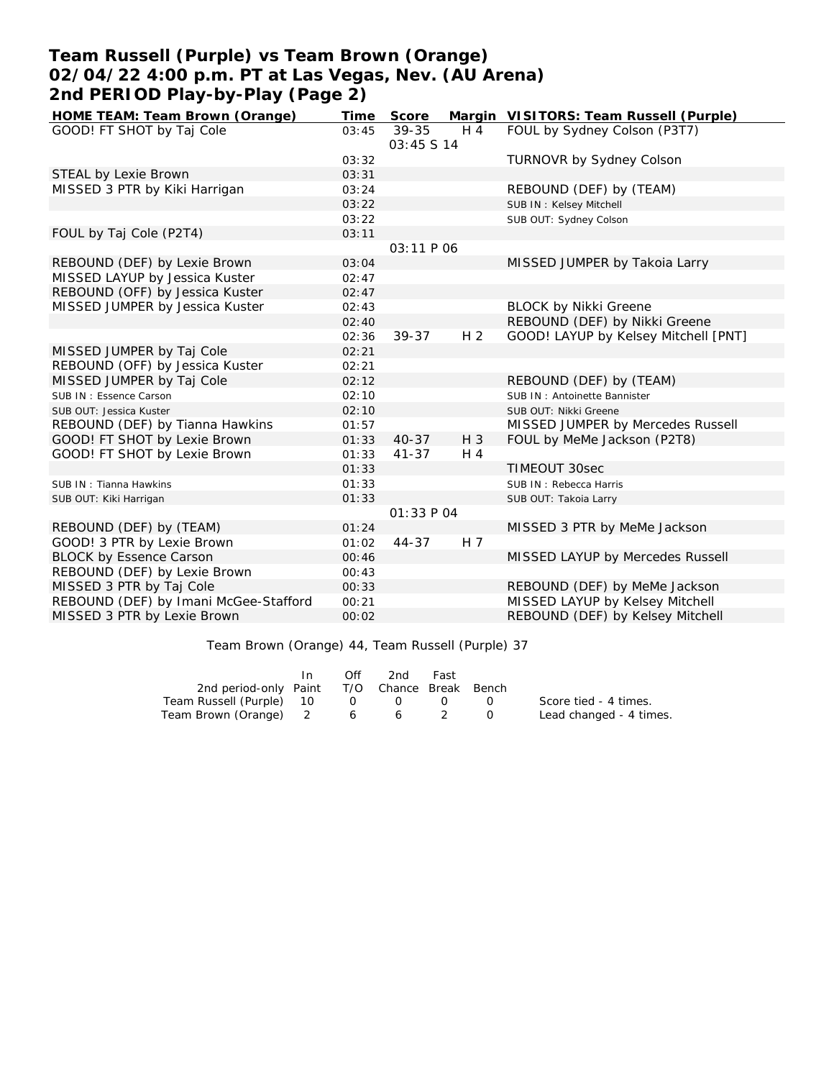### **Team Russell (Purple) vs Team Brown (Orange) 02/04/22 4:00 p.m. PT at Las Vegas, Nev. (AU Arena) 2nd PERIOD Play-by-Play (Page 2)**

| HOME TEAM: Team Brown (Orange)        | Time  | Score       |                | Margin VISITORS: Team Russell (Purple) |
|---------------------------------------|-------|-------------|----------------|----------------------------------------|
| GOOD! FT SHOT by Taj Cole             | 03:45 | 39-35       | H 4            | FOUL by Sydney Colson (P3T7)           |
|                                       |       | 03:45 \$ 14 |                |                                        |
|                                       | 03:32 |             |                | <b>TURNOVR by Sydney Colson</b>        |
| STEAL by Lexie Brown                  | 03:31 |             |                |                                        |
| MISSED 3 PTR by Kiki Harrigan         | 03:24 |             |                | REBOUND (DEF) by (TEAM)                |
|                                       | 03:22 |             |                | SUB IN: Kelsey Mitchell                |
|                                       | 03:22 |             |                | SUB OUT: Sydney Colson                 |
| FOUL by Taj Cole (P2T4)               | 03:11 |             |                |                                        |
|                                       |       | 03:11 P 06  |                |                                        |
| REBOUND (DEF) by Lexie Brown          | 03:04 |             |                | MISSED JUMPER by Takoia Larry          |
| MISSED LAYUP by Jessica Kuster        | 02:47 |             |                |                                        |
| REBOUND (OFF) by Jessica Kuster       | 02:47 |             |                |                                        |
| MISSED JUMPER by Jessica Kuster       | 02:43 |             |                | <b>BLOCK by Nikki Greene</b>           |
|                                       | 02:40 |             |                | REBOUND (DEF) by Nikki Greene          |
|                                       | 02:36 | 39-37       | H <sub>2</sub> | GOOD! LAYUP by Kelsey Mitchell [PNT]   |
| MISSED JUMPER by Taj Cole             | 02:21 |             |                |                                        |
| REBOUND (OFF) by Jessica Kuster       | 02:21 |             |                |                                        |
| MISSED JUMPER by Taj Cole             | 02:12 |             |                | REBOUND (DEF) by (TEAM)                |
| SUB IN: Essence Carson                | 02:10 |             |                | SUB IN: Antoinette Bannister           |
| SUB OUT: Jessica Kuster               | 02:10 |             |                | SUB OUT: Nikki Greene                  |
| REBOUND (DEF) by Tianna Hawkins       | 01:57 |             |                | MISSED JUMPER by Mercedes Russell      |
| GOOD! FT SHOT by Lexie Brown          | 01:33 | $40 - 37$   | $H_3$          | FOUL by MeMe Jackson (P2T8)            |
| GOOD! FT SHOT by Lexie Brown          | 01:33 | $41 - 37$   | $H_4$          |                                        |
|                                       | 01:33 |             |                | TIMEOUT 30sec                          |
| SUB IN: Tianna Hawkins                | 01:33 |             |                | SUB IN: Rebecca Harris                 |
| SUB OUT: Kiki Harrigan                | 01:33 |             |                | SUB OUT: Takoia Larry                  |
|                                       |       | 01:33 P 04  |                |                                        |
| REBOUND (DEF) by (TEAM)               | 01:24 |             |                | MISSED 3 PTR by MeMe Jackson           |
| GOOD! 3 PTR by Lexie Brown            | 01:02 | 44-37       | H 7            |                                        |
| <b>BLOCK by Essence Carson</b>        | 00:46 |             |                | MISSED LAYUP by Mercedes Russell       |
| REBOUND (DEF) by Lexie Brown          | 00:43 |             |                |                                        |
| MISSED 3 PTR by Taj Cole              | 00:33 |             |                | REBOUND (DEF) by MeMe Jackson          |
| REBOUND (DEF) by Imani McGee-Stafford | 00:21 |             |                | MISSED LAYUP by Kelsey Mitchell        |
| MISSED 3 PTR by Lexie Brown           | 00:02 |             |                | REBOUND (DEF) by Kelsey Mitchell       |
|                                       |       |             |                |                                        |

Team Brown (Orange) 44, Team Russell (Purple) 37

|                                              | Off | 2nd            | Fast |                   |                         |
|----------------------------------------------|-----|----------------|------|-------------------|-------------------------|
| 2nd period-only Paint T/O Chance Break Bench |     |                |      |                   |                         |
| Team Russell (Purple) 10 0                   |     | $\overline{O}$ |      | $\Omega$ $\Omega$ | Score tied - 4 times.   |
| Team Brown (Orange) 2 6 6 2                  |     |                |      |                   | Lead changed - 4 times. |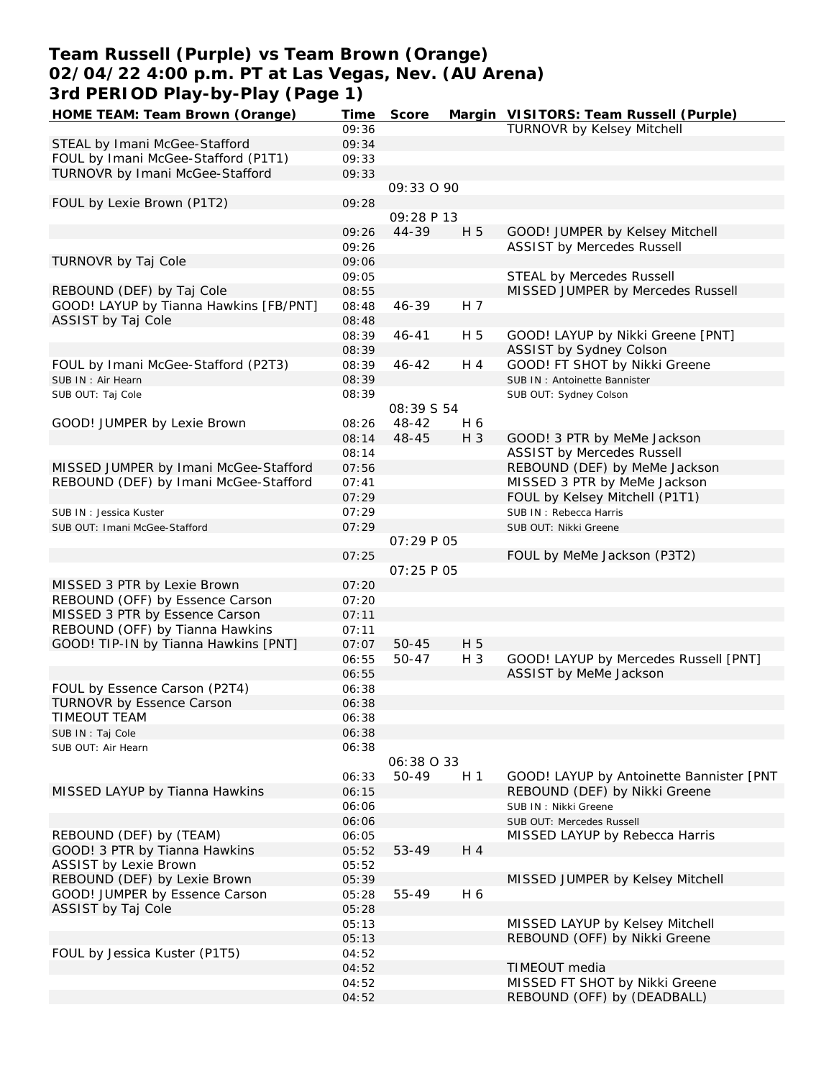### **Team Russell (Purple) vs Team Brown (Orange) 02/04/22 4:00 p.m. PT at Las Vegas, Nev. (AU Arena) 3rd PERIOD Play-by-Play (Page 1)**

| HOME TEAM: Team Brown (Orange)         | Time  | Score              |                | Margin VISITORS: Team Russell (Purple)   |
|----------------------------------------|-------|--------------------|----------------|------------------------------------------|
|                                        | 09:36 |                    |                | <b>TURNOVR by Kelsey Mitchell</b>        |
| STEAL by Imani McGee-Stafford          | 09:34 |                    |                |                                          |
| FOUL by Imani McGee-Stafford (P1T1)    | 09:33 |                    |                |                                          |
| TURNOVR by Imani McGee-Stafford        | 09:33 |                    |                |                                          |
|                                        |       | 09:33 0 90         |                |                                          |
| FOUL by Lexie Brown (P1T2)             | 09:28 |                    |                |                                          |
|                                        |       | 09:28 P 13         |                |                                          |
|                                        | 09:26 | 44-39              | H 5            | GOOD! JUMPER by Kelsey Mitchell          |
|                                        | 09:26 |                    |                | <b>ASSIST by Mercedes Russell</b>        |
| TURNOVR by Taj Cole                    | 09:06 |                    |                |                                          |
|                                        | 09:05 |                    |                | <b>STEAL by Mercedes Russell</b>         |
| REBOUND (DEF) by Taj Cole              | 08:55 |                    |                | MISSED JUMPER by Mercedes Russell        |
| GOOD! LAYUP by Tianna Hawkins [FB/PNT] | 08:48 | 46-39              | H 7            |                                          |
| ASSIST by Taj Cole                     | 08:48 |                    |                |                                          |
|                                        | 08:39 | $46 - 41$          | H 5            | GOOD! LAYUP by Nikki Greene [PNT]        |
|                                        | 08:39 |                    |                | ASSIST by Sydney Colson                  |
| FOUL by Imani McGee-Stafford (P2T3)    | 08:39 | 46-42              | H 4            | GOOD! FT SHOT by Nikki Greene            |
| SUB IN: Air Hearn                      | 08:39 |                    |                | SUB IN: Antoinette Bannister             |
| SUB OUT: Taj Cole                      | 08:39 |                    |                | SUB OUT: Sydney Colson                   |
|                                        |       | 08:39 S 54         |                |                                          |
| GOOD! JUMPER by Lexie Brown            | 08:26 | 48-42              | H 6            |                                          |
|                                        | 08:14 | 48-45              | H 3            | GOOD! 3 PTR by MeMe Jackson              |
|                                        | 08:14 |                    |                | <b>ASSIST by Mercedes Russell</b>        |
| MISSED JUMPER by Imani McGee-Stafford  | 07:56 |                    |                | REBOUND (DEF) by MeMe Jackson            |
| REBOUND (DEF) by Imani McGee-Stafford  | 07:41 |                    |                | MISSED 3 PTR by MeMe Jackson             |
|                                        | 07:29 |                    |                | FOUL by Kelsey Mitchell (P1T1)           |
| SUB IN: Jessica Kuster                 | 07:29 |                    |                | SUB IN: Rebecca Harris                   |
| SUB OUT: Imani McGee-Stafford          | 07:29 |                    |                | SUB OUT: Nikki Greene                    |
|                                        |       | <i>OT:29 P O5</i>  |                |                                          |
|                                        | 07:25 |                    |                | FOUL by MeMe Jackson (P3T2)              |
|                                        |       | <i>OT: 25 P O5</i> |                |                                          |
| MISSED 3 PTR by Lexie Brown            | 07:20 |                    |                |                                          |
| REBOUND (OFF) by Essence Carson        | 07:20 |                    |                |                                          |
| MISSED 3 PTR by Essence Carson         | 07:11 |                    |                |                                          |
| REBOUND (OFF) by Tianna Hawkins        | 07:11 |                    |                |                                          |
| GOOD! TIP-IN by Tianna Hawkins [PNT]   | 07:07 | $50 - 45$          | H 5            |                                          |
|                                        | 06:55 | 50-47              | $H_3$          | GOOD! LAYUP by Mercedes Russell [PNT]    |
|                                        | 06:55 |                    |                | ASSIST by MeMe Jackson                   |
| FOUL by Essence Carson (P2T4)          | 06:38 |                    |                |                                          |
| <b>TURNOVR by Essence Carson</b>       | 06:38 |                    |                |                                          |
| TIMEOUT TEAM                           | 06:38 |                    |                |                                          |
| SUB IN: Taj Cole                       | 06:38 |                    |                |                                          |
| SUB OUT: Air Hearn                     | 06:38 |                    |                |                                          |
|                                        |       | 06:38 O 33         |                |                                          |
|                                        | 06:33 | 50-49              | H <sub>1</sub> | GOOD! LAYUP by Antoinette Bannister [PNT |
| MISSED LAYUP by Tianna Hawkins         | 06:15 |                    |                | REBOUND (DEF) by Nikki Greene            |
|                                        | 06:06 |                    |                | SUB IN: Nikki Greene                     |
|                                        | 06:06 |                    |                | SUB OUT: Mercedes Russell                |
| REBOUND (DEF) by (TEAM)                | 06:05 |                    |                | MISSED LAYUP by Rebecca Harris           |
| GOOD! 3 PTR by Tianna Hawkins          | 05:52 | 53-49              | H 4            |                                          |
| <b>ASSIST by Lexie Brown</b>           | 05:52 |                    |                |                                          |
| REBOUND (DEF) by Lexie Brown           | 05:39 |                    |                | MISSED JUMPER by Kelsey Mitchell         |
| GOOD! JUMPER by Essence Carson         | 05:28 | 55-49              | H 6            |                                          |
| ASSIST by Taj Cole                     | 05:28 |                    |                |                                          |
|                                        | 05:13 |                    |                | MISSED LAYUP by Kelsey Mitchell          |
|                                        | 05:13 |                    |                | REBOUND (OFF) by Nikki Greene            |
| FOUL by Jessica Kuster (P1T5)          | 04:52 |                    |                |                                          |
|                                        | 04:52 |                    |                | TIMEOUT media                            |
|                                        | 04:52 |                    |                | MISSED FT SHOT by Nikki Greene           |
|                                        | 04:52 |                    |                | REBOUND (OFF) by (DEADBALL)              |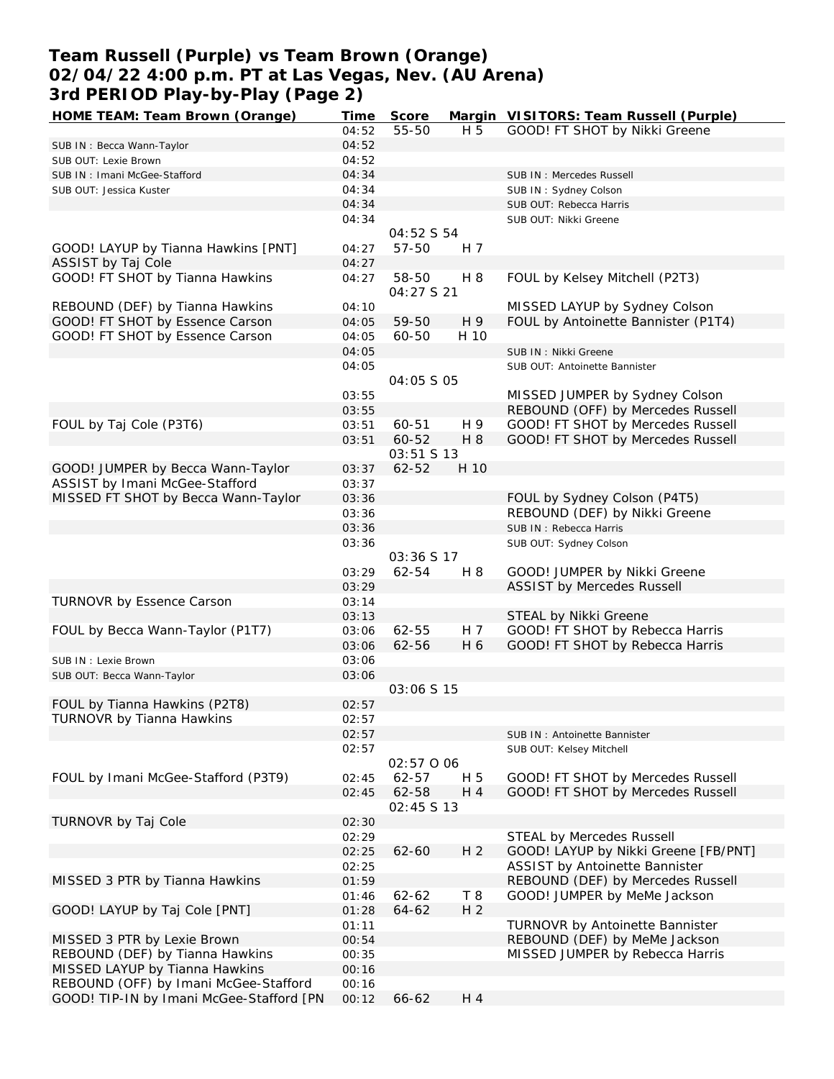## **Team Russell (Purple) vs Team Brown (Orange) 02/04/22 4:00 p.m. PT at Las Vegas, Nev. (AU Arena) 3rd PERIOD Play-by-Play (Page 2)**

| HOME TEAM: Team Brown (Orange)           | Time  | Score       |                      | Margin VISITORS: Team Russell (Purple) |
|------------------------------------------|-------|-------------|----------------------|----------------------------------------|
|                                          | 04:52 | 55-50       | H 5                  | GOOD! FT SHOT by Nikki Greene          |
| SUB IN: Becca Wann-Taylor                | 04:52 |             |                      |                                        |
| SUB OUT: Lexie Brown                     | 04:52 |             |                      |                                        |
| SUB IN: Imani McGee-Stafford             | 04:34 |             |                      | SUB IN: Mercedes Russell               |
| SUB OUT: Jessica Kuster                  | 04:34 |             |                      | SUB IN: Sydney Colson                  |
|                                          | 04:34 |             |                      | SUB OUT: Rebecca Harris                |
|                                          | 04:34 |             |                      | SUB OUT: Nikki Greene                  |
|                                          |       | 04:52 S 54  |                      |                                        |
| GOOD! LAYUP by Tianna Hawkins [PNT]      | 04:27 | 57-50       | H 7                  |                                        |
| ASSIST by Taj Cole                       | 04:27 |             |                      |                                        |
| GOOD! FT SHOT by Tianna Hawkins          | 04:27 | 58-50       | H 8                  | FOUL by Kelsey Mitchell (P2T3)         |
|                                          |       | 04:27 S 21  |                      |                                        |
|                                          |       |             |                      |                                        |
| REBOUND (DEF) by Tianna Hawkins          | 04:10 |             |                      | MISSED LAYUP by Sydney Colson          |
| GOOD! FT SHOT by Essence Carson          | 04:05 | 59-50       | H 9                  | FOUL by Antoinette Bannister (P1T4)    |
| GOOD! FT SHOT by Essence Carson          | 04:05 | 60-50       | H 10                 |                                        |
|                                          | 04:05 |             |                      | SUB IN : Nikki Greene                  |
|                                          | 04:05 |             |                      | SUB OUT: Antoinette Bannister          |
|                                          |       | 04:05 S 05  |                      |                                        |
|                                          | 03:55 |             |                      | MISSED JUMPER by Sydney Colson         |
|                                          | 03:55 |             |                      | REBOUND (OFF) by Mercedes Russell      |
| FOUL by Taj Cole (P3T6)                  | 03:51 | 60-51       | H 9                  | GOOD! FT SHOT by Mercedes Russell      |
|                                          | 03:51 | 60-52       | H 8                  | GOOD! FT SHOT by Mercedes Russell      |
|                                          |       | 03:51 S 13  |                      |                                        |
| GOOD! JUMPER by Becca Wann-Taylor        | 03:37 | $62 - 52$   | H 10                 |                                        |
| ASSIST by Imani McGee-Stafford           | 03:37 |             |                      |                                        |
| MISSED FT SHOT by Becca Wann-Taylor      | 03:36 |             |                      | FOUL by Sydney Colson (P4T5)           |
|                                          | 03:36 |             |                      | REBOUND (DEF) by Nikki Greene          |
|                                          | 03:36 |             |                      | SUB IN: Rebecca Harris                 |
|                                          | 03:36 |             |                      | SUB OUT: Sydney Colson                 |
|                                          |       | 03:36 S 17  |                      |                                        |
|                                          | 03:29 | 62-54       | H 8                  | GOOD! JUMPER by Nikki Greene           |
|                                          | 03:29 |             |                      | <b>ASSIST by Mercedes Russell</b>      |
| TURNOVR by Essence Carson                | 03:14 |             |                      |                                        |
|                                          | 03:13 |             |                      | STEAL by Nikki Greene                  |
| FOUL by Becca Wann-Taylor (P1T7)         | 03:06 | 62-55       | H 7                  | GOOD! FT SHOT by Rebecca Harris        |
|                                          | 03:06 | 62-56       | H 6                  | GOOD! FT SHOT by Rebecca Harris        |
| SUB IN : Lexie Brown                     | 03:06 |             |                      |                                        |
| SUB OUT: Becca Wann-Taylor               | 03:06 |             |                      |                                        |
|                                          |       | 03:06 S 15  |                      |                                        |
| FOUL by Tianna Hawkins (P2T8)            | 02:57 |             |                      |                                        |
| TURNOVR by Tianna Hawkins                | 02:57 |             |                      |                                        |
|                                          | 02:57 |             |                      | SUB IN: Antoinette Bannister           |
|                                          | 02:57 |             |                      | SUB OUT: Kelsey Mitchell               |
|                                          |       | 02:57 0 06  |                      |                                        |
| FOUL by Imani McGee-Stafford (P3T9)      | 02:45 | 62-57       | H 5                  | GOOD! FT SHOT by Mercedes Russell      |
|                                          | 02:45 | 62-58       | H 4                  | GOOD! FT SHOT by Mercedes Russell      |
|                                          |       | 02:45 \$ 13 |                      |                                        |
| TURNOVR by Taj Cole                      | 02:30 |             |                      |                                        |
|                                          | 02:29 |             |                      | STEAL by Mercedes Russell              |
|                                          | 02:25 | $62 - 60$   | H <sub>2</sub>       | GOOD! LAYUP by Nikki Greene [FB/PNT]   |
|                                          | 02:25 |             |                      | <b>ASSIST by Antoinette Bannister</b>  |
| MISSED 3 PTR by Tianna Hawkins           |       |             |                      | REBOUND (DEF) by Mercedes Russell      |
|                                          | 01:59 |             |                      |                                        |
|                                          | 01:46 | $62 - 62$   | T8<br>H <sub>2</sub> | GOOD! JUMPER by MeMe Jackson           |
| GOOD! LAYUP by Taj Cole [PNT]            | 01:28 | 64-62       |                      |                                        |
|                                          | 01:11 |             |                      | TURNOVR by Antoinette Bannister        |
| MISSED 3 PTR by Lexie Brown              | 00:54 |             |                      | REBOUND (DEF) by MeMe Jackson          |
| REBOUND (DEF) by Tianna Hawkins          | 00:35 |             |                      | MISSED JUMPER by Rebecca Harris        |
| MISSED LAYUP by Tianna Hawkins           | 00:16 |             |                      |                                        |
| REBOUND (OFF) by Imani McGee-Stafford    | 00:16 |             |                      |                                        |
| GOOD! TIP-IN by Imani McGee-Stafford [PN | 00:12 | 66-62       | H 4                  |                                        |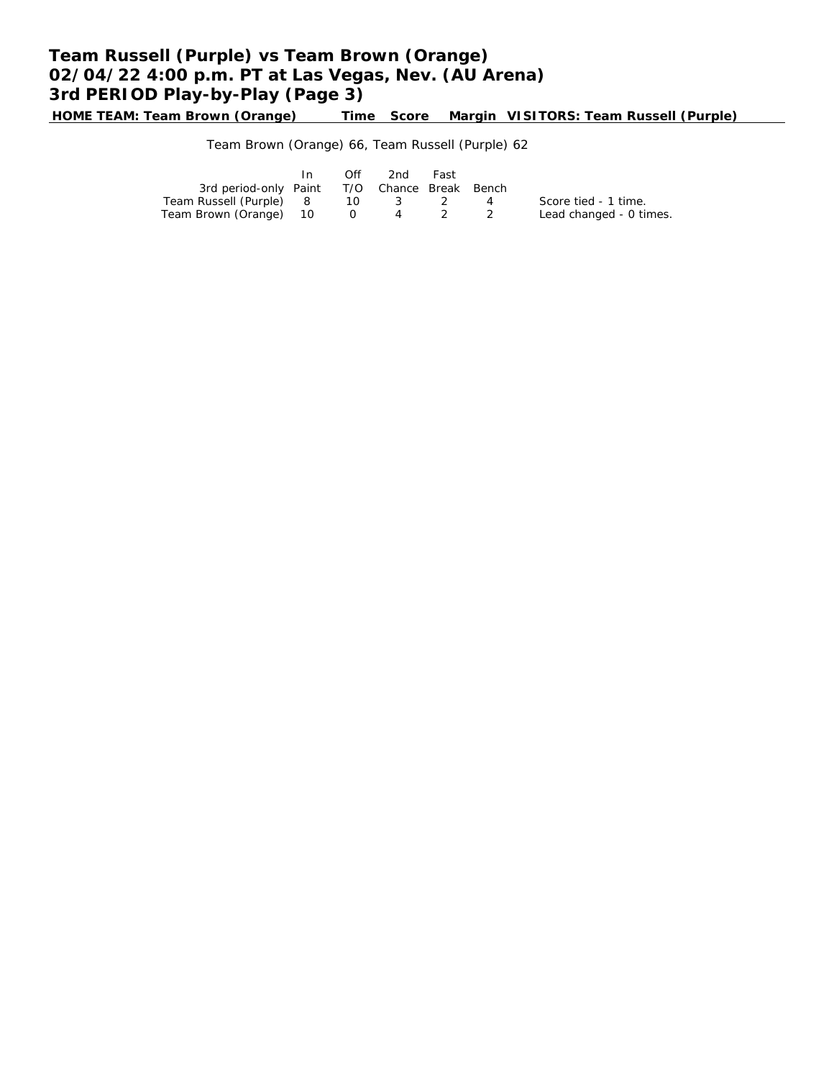# **Team Russell (Purple) vs Team Brown (Orange) 02/04/22 4:00 p.m. PT at Las Vegas, Nev. (AU Arena) 3rd PERIOD Play-by-Play (Page 3)**

**HOME TEAM: Team Brown (Orange) Time Score Margin VISITORS: Team Russell (Purple)**

Team Brown (Orange) 66, Team Russell (Purple) 62

|                                              | $\mathsf{In}$ | Off | 2nd      | Fast  |                         |
|----------------------------------------------|---------------|-----|----------|-------|-------------------------|
| 3rd period-only Paint T/O Chance Break Bench |               |     |          |       |                         |
| Team Russell (Purple) 8                      |               |     | 10 3 2 4 |       | Score tied - 1 time.    |
| Team Brown (Orange) 10 0                     |               |     |          | 4 2 2 | Lead changed - 0 times. |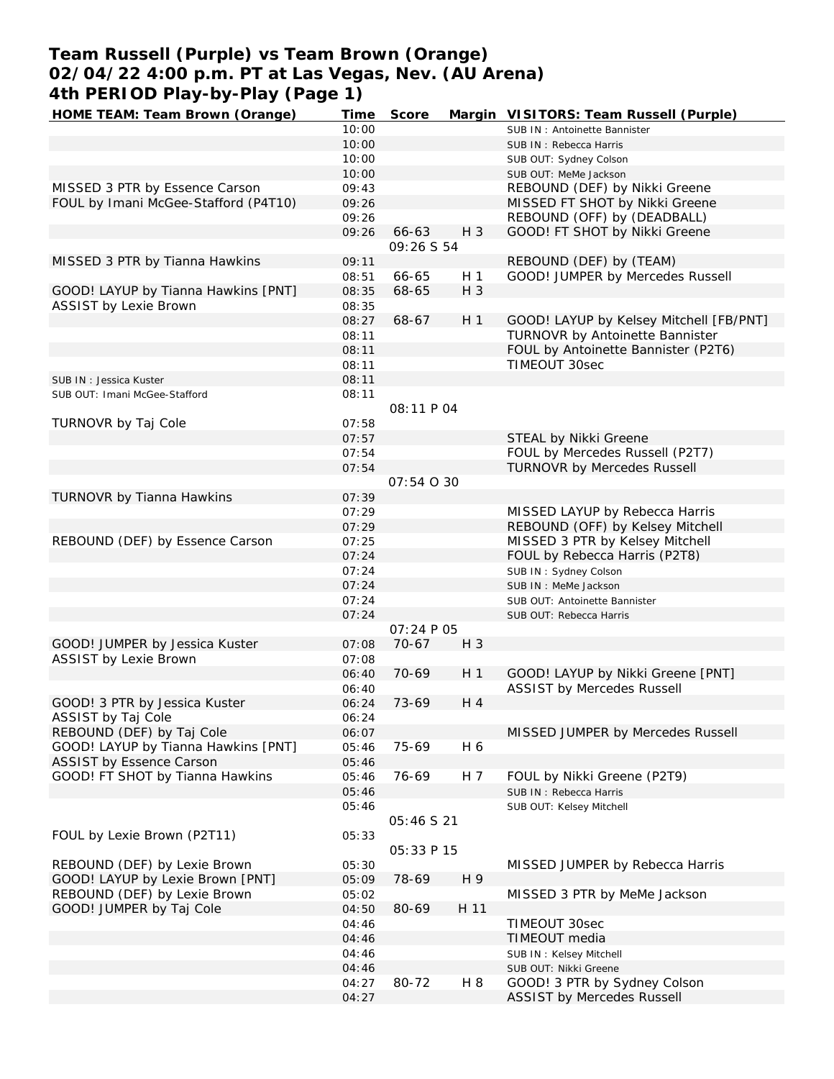## **Team Russell (Purple) vs Team Brown (Orange) 02/04/22 4:00 p.m. PT at Las Vegas, Nev. (AU Arena) 4th PERIOD Play-by-Play (Page 1)**

| HOME TEAM: Team Brown (Orange)       | Time  | Score             |                | Margin VISITORS: Team Russell (Purple)  |
|--------------------------------------|-------|-------------------|----------------|-----------------------------------------|
|                                      | 10:00 |                   |                | SUB IN: Antoinette Bannister            |
|                                      | 10:00 |                   |                | SUB IN: Rebecca Harris                  |
|                                      | 10:00 |                   |                | SUB OUT: Sydney Colson                  |
|                                      | 10:00 |                   |                | SUB OUT: MeMe Jackson                   |
| MISSED 3 PTR by Essence Carson       | 09:43 |                   |                | REBOUND (DEF) by Nikki Greene           |
| FOUL by Imani McGee-Stafford (P4T10) | 09:26 |                   |                | MISSED FT SHOT by Nikki Greene          |
|                                      | 09:26 |                   |                | REBOUND (OFF) by (DEADBALL)             |
|                                      | 09:26 | 66-63             | $H_3$          | GOOD! FT SHOT by Nikki Greene           |
|                                      |       | 09:26 S 54        |                |                                         |
| MISSED 3 PTR by Tianna Hawkins       | 09:11 |                   |                | REBOUND (DEF) by (TEAM)                 |
|                                      | 08:51 | 66-65             | H 1            | GOOD! JUMPER by Mercedes Russell        |
| GOOD! LAYUP by Tianna Hawkins [PNT]  | 08:35 | 68-65             | $H_3$          |                                         |
| <b>ASSIST by Lexie Brown</b>         |       |                   |                |                                         |
|                                      | 08:35 |                   |                |                                         |
|                                      | 08:27 | 68-67             | H <sub>1</sub> | GOOD! LAYUP by Kelsey Mitchell [FB/PNT] |
|                                      | 08:11 |                   |                | TURNOVR by Antoinette Bannister         |
|                                      | 08:11 |                   |                | FOUL by Antoinette Bannister (P2T6)     |
|                                      | 08:11 |                   |                | TIMEOUT 30sec                           |
| SUB IN: Jessica Kuster               | 08:11 |                   |                |                                         |
| SUB OUT: Imani McGee-Stafford        | 08:11 |                   |                |                                         |
|                                      |       | 08:11 P 04        |                |                                         |
| TURNOVR by Taj Cole                  | 07:58 |                   |                |                                         |
|                                      | 07:57 |                   |                | STEAL by Nikki Greene                   |
|                                      | 07:54 |                   |                | FOUL by Mercedes Russell (P2T7)         |
|                                      | 07:54 |                   |                | <b>TURNOVR by Mercedes Russell</b>      |
|                                      |       | 07:54 0 30        |                |                                         |
| TURNOVR by Tianna Hawkins            | 07:39 |                   |                |                                         |
|                                      | 07:29 |                   |                | MISSED LAYUP by Rebecca Harris          |
|                                      | 07:29 |                   |                | REBOUND (OFF) by Kelsey Mitchell        |
| REBOUND (DEF) by Essence Carson      | 07:25 |                   |                | MISSED 3 PTR by Kelsey Mitchell         |
|                                      | 07:24 |                   |                | FOUL by Rebecca Harris (P2T8)           |
|                                      | 07:24 |                   |                | SUB IN: Sydney Colson                   |
|                                      | 07:24 |                   |                | SUB IN : MeMe Jackson                   |
|                                      | 07:24 |                   |                | SUB OUT: Antoinette Bannister           |
|                                      | 07:24 |                   |                | SUB OUT: Rebecca Harris                 |
|                                      |       | <i>O7:24 P O5</i> |                |                                         |
| GOOD! JUMPER by Jessica Kuster       | 07:08 | $70-67$           | $H_3$          |                                         |
| ASSIST by Lexie Brown                | 07:08 |                   |                |                                         |
|                                      | 06:40 | 70-69             | H <sub>1</sub> | GOOD! LAYUP by Nikki Greene [PNT]       |
|                                      | 06:40 |                   |                | <b>ASSIST by Mercedes Russell</b>       |
| GOOD! 3 PTR by Jessica Kuster        | 06:24 | 73-69             | H 4            |                                         |
|                                      |       |                   |                |                                         |
| ASSIST by Taj Cole                   | 06:24 |                   |                |                                         |
| REBOUND (DEF) by Taj Cole            | 06:07 |                   |                | MISSED JUMPER by Mercedes Russell       |
| GOOD! LAYUP by Tianna Hawkins [PNT]  | 05:46 | 75-69             | H 6            |                                         |
| ASSIST by Essence Carson             | 05:46 |                   |                |                                         |
| GOOD! FT SHOT by Tianna Hawkins      | 05:46 | 76-69             | H 7            | FOUL by Nikki Greene (P2T9)             |
|                                      | 05:46 |                   |                | SUB IN: Rebecca Harris                  |
|                                      | 05:46 |                   |                | SUB OUT: Kelsey Mitchell                |
|                                      |       | <i>05:46 S 21</i> |                |                                         |
| FOUL by Lexie Brown (P2T11)          | 05:33 |                   |                |                                         |
|                                      |       | 05:33 P 15        |                |                                         |
| REBOUND (DEF) by Lexie Brown         | 05:30 |                   |                | MISSED JUMPER by Rebecca Harris         |
| GOOD! LAYUP by Lexie Brown [PNT]     | 05:09 | 78-69             | H 9            |                                         |
| REBOUND (DEF) by Lexie Brown         | 05:02 |                   |                | MISSED 3 PTR by MeMe Jackson            |
| GOOD! JUMPER by Taj Cole             | 04:50 | 80-69             | H 11           |                                         |
|                                      | 04:46 |                   |                | TIMEOUT 30sec                           |
|                                      | 04:46 |                   |                | TIMEOUT media                           |
|                                      | 04:46 |                   |                | SUB IN: Kelsey Mitchell                 |
|                                      | 04:46 |                   |                | SUB OUT: Nikki Greene                   |
|                                      | 04:27 | 80-72             | H 8            | GOOD! 3 PTR by Sydney Colson            |
|                                      | 04:27 |                   |                | ASSIST by Mercedes Russell              |
|                                      |       |                   |                |                                         |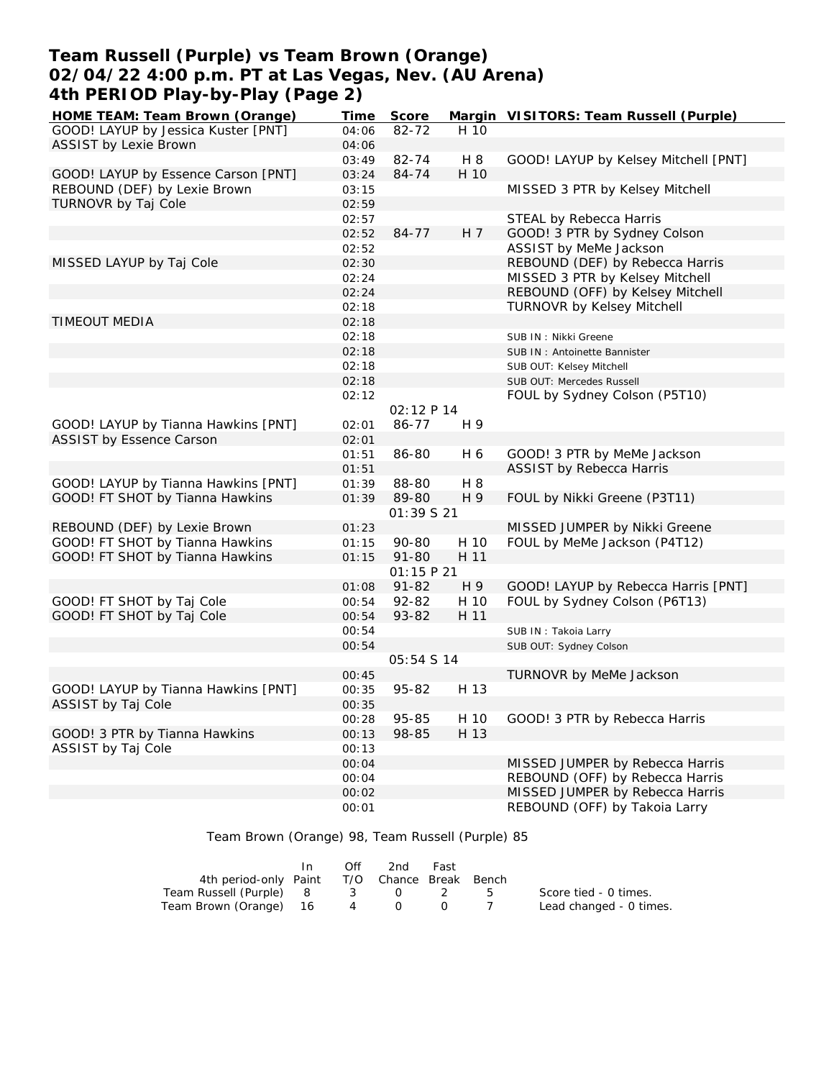## **Team Russell (Purple) vs Team Brown (Orange) 02/04/22 4:00 p.m. PT at Las Vegas, Nev. (AU Arena) 4th PERIOD Play-by-Play (Page 2)**

| HOME TEAM: Team Brown (Orange)      | Time  | Score      |      | Margin VISITORS: Team Russell (Purple) |
|-------------------------------------|-------|------------|------|----------------------------------------|
| GOOD! LAYUP by Jessica Kuster [PNT] | 04:06 | 82-72      | H 10 |                                        |
| <b>ASSIST by Lexie Brown</b>        | 04:06 |            |      |                                        |
|                                     | 03:49 | 82-74      | H 8  | GOOD! LAYUP by Kelsey Mitchell [PNT]   |
| GOOD! LAYUP by Essence Carson [PNT] | 03:24 | 84-74      | H 10 |                                        |
| REBOUND (DEF) by Lexie Brown        | 03:15 |            |      | MISSED 3 PTR by Kelsey Mitchell        |
| TURNOVR by Taj Cole                 | 02:59 |            |      |                                        |
|                                     | 02:57 |            |      | STEAL by Rebecca Harris                |
|                                     | 02:52 | 84-77      | H 7  | GOOD! 3 PTR by Sydney Colson           |
|                                     | 02:52 |            |      | ASSIST by MeMe Jackson                 |
| MISSED LAYUP by Taj Cole            | 02:30 |            |      | REBOUND (DEF) by Rebecca Harris        |
|                                     | 02:24 |            |      | MISSED 3 PTR by Kelsey Mitchell        |
|                                     | 02:24 |            |      | REBOUND (OFF) by Kelsey Mitchell       |
|                                     | 02:18 |            |      | <b>TURNOVR by Kelsey Mitchell</b>      |
| <b>TIMEOUT MEDIA</b>                | 02:18 |            |      |                                        |
|                                     | 02:18 |            |      | SUB IN: Nikki Greene                   |
|                                     | 02:18 |            |      | SUB IN: Antoinette Bannister           |
|                                     | 02:18 |            |      | SUB OUT: Kelsey Mitchell               |
|                                     | 02:18 |            |      | SUB OUT: Mercedes Russell              |
|                                     | 02:12 |            |      | FOUL by Sydney Colson (P5T10)          |
|                                     |       | 02:12 P 14 |      |                                        |
| GOOD! LAYUP by Tianna Hawkins [PNT] | 02:01 | 86-77      | H 9  |                                        |
| <b>ASSIST by Essence Carson</b>     | 02:01 |            |      |                                        |
|                                     | 01:51 | 86-80      | H 6  | GOOD! 3 PTR by MeMe Jackson            |
|                                     | 01:51 |            |      | ASSIST by Rebecca Harris               |
| GOOD! LAYUP by Tianna Hawkins [PNT] | 01:39 | 88-80      | H 8  |                                        |
| GOOD! FT SHOT by Tianna Hawkins     | 01:39 | 89-80      | H 9  | FOUL by Nikki Greene (P3T11)           |
|                                     |       | 01:39 S 21 |      |                                        |
| REBOUND (DEF) by Lexie Brown        | 01:23 |            |      | MISSED JUMPER by Nikki Greene          |
| GOOD! FT SHOT by Tianna Hawkins     | 01:15 | 90-80      | H 10 | FOUL by MeMe Jackson (P4T12)           |
| GOOD! FT SHOT by Tianna Hawkins     | 01:15 | $91 - 80$  | H 11 |                                        |
|                                     |       | O1:15 P 21 |      |                                        |
|                                     | 01:08 | $91 - 82$  | H 9  | GOOD! LAYUP by Rebecca Harris [PNT]    |
| GOOD! FT SHOT by Taj Cole           | 00:54 | 92-82      | H 10 | FOUL by Sydney Colson (P6T13)          |
| GOOD! FT SHOT by Taj Cole           | 00:54 | 93-82      | H 11 |                                        |
|                                     |       |            |      |                                        |
|                                     | 00:54 |            |      | SUB IN: Takoia Larry                   |
|                                     | 00:54 | 05:54 S 14 |      | SUB OUT: Sydney Colson                 |
|                                     | 00:45 |            |      |                                        |
| GOOD! LAYUP by Tianna Hawkins [PNT] | 00:35 | 95-82      | H 13 | TURNOVR by MeMe Jackson                |
| ASSIST by Taj Cole                  | 00:35 |            |      |                                        |
|                                     |       | 95-85      | H 10 | GOOD! 3 PTR by Rebecca Harris          |
|                                     | 00:28 |            | H 13 |                                        |
| GOOD! 3 PTR by Tianna Hawkins       | 00:13 | 98-85      |      |                                        |
| ASSIST by Taj Cole                  | 00:13 |            |      |                                        |
|                                     | 00:04 |            |      | MISSED JUMPER by Rebecca Harris        |
|                                     | 00:04 |            |      | REBOUND (OFF) by Rebecca Harris        |
|                                     | 00:02 |            |      | MISSED JUMPER by Rebecca Harris        |
|                                     | 00:01 |            |      | REBOUND (OFF) by Takoia Larry          |

Team Brown (Orange) 98, Team Russell (Purple) 85

|                                              | In. | Off | 2nd   | Fast |              |                         |
|----------------------------------------------|-----|-----|-------|------|--------------|-------------------------|
| 4th period-only Paint T/O Chance Break Bench |     |     |       |      |              |                         |
| Team Russell (Purple) 8                      |     |     | 3 0 2 |      | $\mathbf{b}$ | Score tied - 0 times.   |
| Team Brown (Orange) 16                       |     | 4   |       |      |              | Lead changed - 0 times. |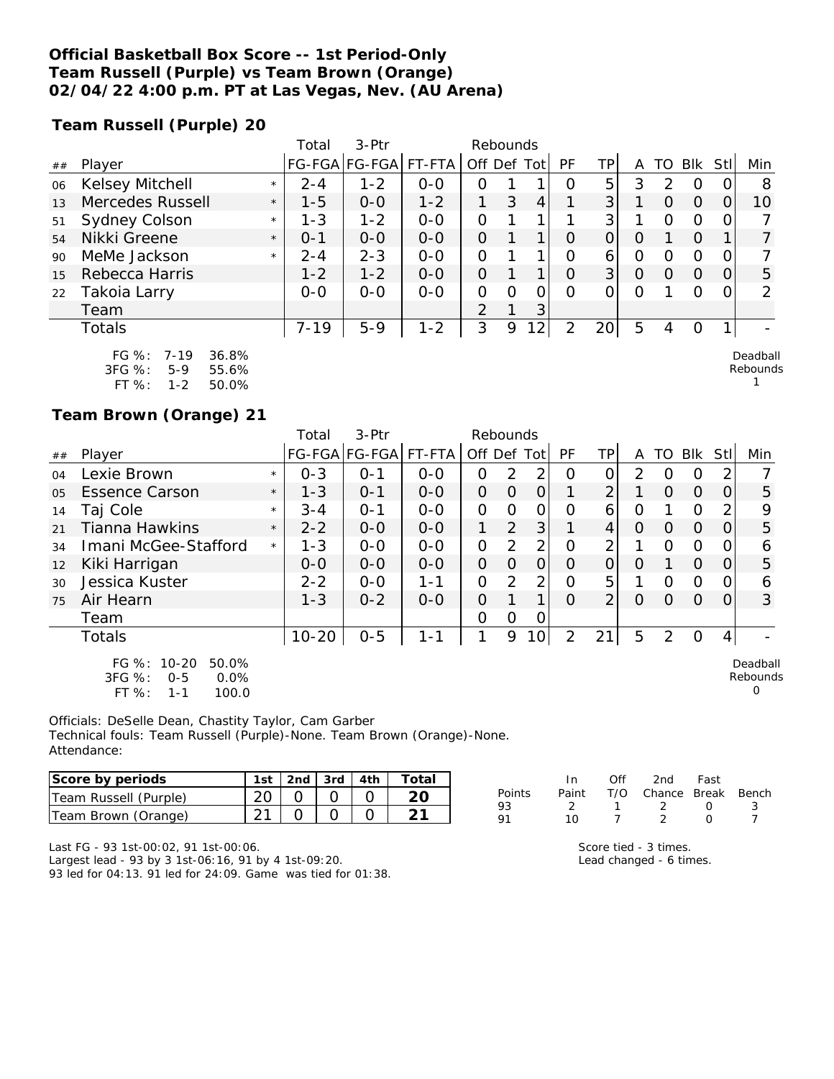#### **Official Basketball Box Score -- 1st Period-Only Team Russell (Purple) vs Team Brown (Orange) 02/04/22 4:00 p.m. PT at Las Vegas, Nev. (AU Arena)**

**Team Russell (Purple) 20**

|    |                        |         | Total    | $3-Ptr$       |         | Rebounds       |          |                |          |                |          |                  |            |          |                 |
|----|------------------------|---------|----------|---------------|---------|----------------|----------|----------------|----------|----------------|----------|------------------|------------|----------|-----------------|
| ## | Player                 |         |          | FG-FGA FG-FGA | FT-FTA  | Off Def        |          | Tot            | PF       | TPI            | Α        | TΟ               | <b>Blk</b> | Stl      | Min             |
| 06 | Kelsey Mitchell        | $\star$ | $2 - 4$  | $1 - 2$       | $0-0$   | O              |          |                | $\Omega$ | 5              | 3        | 2                | $\Omega$   |          | 8               |
| 13 | Mercedes Russell       | $\star$ | $1 - 5$  | $0 - 0$       | $1 - 2$ |                | 3        | 4              |          | 3 <sup>1</sup> |          | 0                | $\Omega$   | $\Omega$ | 10 <sup>°</sup> |
| 51 | Sydney Colson          | $\star$ | $1 - 3$  | $1 - 2$       | $0 - 0$ | O              |          |                |          | 3 <sup>1</sup> |          | $\Omega$         | O          | $\Omega$ |                 |
| 54 | Nikki Greene           | $\star$ | $O - 1$  | $0 - 0$       | $0 - 0$ | $\Omega$       |          |                | $\Omega$ | $\overline{O}$ | O        |                  | $\Omega$   |          | 7               |
| 90 | MeMe Jackson           | $\star$ | $2 - 4$  | $2 - 3$       | $0 - 0$ | O              |          |                | $\Omega$ | 6              | O        | $\left( \right)$ | $\Omega$   | 0        |                 |
| 15 | Rebecca Harris         |         | $1 - 2$  | $1 - 2$       | $O - O$ | $\Omega$       |          |                | $\Omega$ | 3              | $\Omega$ | $\Omega$         | $\Omega$   | $\Omega$ | 5               |
| 22 | Takoia Larry           |         | $0 - 0$  | $0 - 0$       | $0 - 0$ | 0              | $\Omega$ | 0              | $\Omega$ |                | $\Omega$ |                  | O          | $\Omega$ | $\overline{2}$  |
|    | Team                   |         |          |               |         | $\overline{2}$ |          | 3              |          |                |          |                  |            |          |                 |
|    | Totals                 |         | $7 - 19$ | $5 - 9$       | $1 - 2$ | 3              | 9        | $\overline{2}$ | 2        | 20             | 5        | 4                | O          |          |                 |
|    | $FG \%: 7-19$<br>36.8% |         |          |               |         |                |          |                |          |                |          |                  |            |          | Deadball        |

| I VJ 70.  | $1 - 17$ | 30.070 |
|-----------|----------|--------|
| 3FG %:    | 5-9      | 55.6%  |
| FT $\%$ : | 1-2      | 50.0%  |

**Team Brown (Orange) 21**

|    |                                                                                |         | Total     | 3-Ptr         |         | Rebounds       |                |                |           |                |          |          |            |                |                           |
|----|--------------------------------------------------------------------------------|---------|-----------|---------------|---------|----------------|----------------|----------------|-----------|----------------|----------|----------|------------|----------------|---------------------------|
| ## | Player                                                                         |         |           | FG-FGA FG-FGA | FT-FTA  | Off Def Tot    |                |                | <b>PF</b> | TPI            | A        | TO       | <b>Blk</b> | Stll           | Min                       |
| 04 | Lexie Brown                                                                    | $\star$ | $0 - 3$   | $O - 1$       | $0 - 0$ | 0              | 2              | 2              | O         | 0              | 2        | $\left($ | O          | $\mathbf{2}$   |                           |
| 05 | <b>Essence Carson</b>                                                          | $\star$ | $1 - 3$   | $O - 1$       | $0 - 0$ | $\Omega$       | $\overline{O}$ | $\overline{O}$ |           | $\overline{2}$ |          | $\Omega$ | $\Omega$   | $\Omega$       | 5                         |
| 14 | Taj Cole                                                                       | $\star$ | $3 - 4$   | $O - 1$       | $0 - 0$ | $\overline{O}$ | $\Omega$       | $\overline{O}$ | O         | 6              | 0        |          | $\circ$    | 2              | 9                         |
| 21 | <b>Tianna Hawkins</b>                                                          | $\star$ | $2 - 2$   | $0 - 0$       | $O - O$ | 1              | 2              | 3              |           | 4              | $\Omega$ | $\Omega$ | $\Omega$   | $\Omega$       | 5                         |
| 34 | Imani McGee-Stafford                                                           | $\star$ | $1 - 3$   | $0-0$         | $0-0$   | 0              | 2              | 2              | O         | 2              |          | 0        | $\Omega$   | 0              | 6                         |
| 12 | Kiki Harrigan                                                                  |         | $0 - 0$   | $0 - 0$       | $0 - 0$ | 0              | $\Omega$       | 0              | $\Omega$  | $\Omega$       | 0        |          | $\Omega$   | 0              | 5                         |
| 30 | Jessica Kuster                                                                 |         | $2 - 2$   | $0 - 0$       | $1 - 1$ | 0              | 2              | 2              | O         | 5              |          | $\Omega$ | $\circ$    | 0              | 6                         |
| 75 | Air Hearn                                                                      |         | $1 - 3$   | $0 - 2$       | $0 - 0$ | $\mathcal{O}$  |                |                | $\Omega$  | 2 <sub>1</sub> | $\Omega$ | $\Omega$ | $\Omega$   | $\Omega$       | 3                         |
|    | Team                                                                           |         |           |               |         | O              | O              | 0              |           |                |          |          |            |                |                           |
|    | <b>Totals</b>                                                                  |         | $10 - 20$ | $O-5$         | $1 - 1$ | 1              | 9              | 10             | 2         | 21             | 5        | 2        | $\Omega$   | $\overline{4}$ |                           |
|    | FG %: 10-20<br>50.0%<br>3FG %:<br>0.0%<br>$O - 5$<br>FT %:<br>100.0<br>$1 - 1$ |         |           |               |         |                |                |                |           |                |          |          |            |                | Deadball<br>Rebounds<br>O |

Officials: DeSelle Dean, Chastity Taylor, Cam Garber Technical fouls: Team Russell (Purple)-None. Team Brown (Orange)-None. Attendance:

| Score by periods      | 1st |  | 2nd $\sqrt{3}$ rd $\sqrt{4}$ th $\sqrt{2}$ | $T$ otai |
|-----------------------|-----|--|--------------------------------------------|----------|
| Team Russell (Purple) |     |  |                                            |          |
| Team Brown (Orange)   |     |  |                                            |          |

|        | In. | ∩ff | 2nd Fast                     |                  |     |
|--------|-----|-----|------------------------------|------------------|-----|
| Points |     |     | Paint T/O Chance Break Bench |                  |     |
| 93     |     |     | - 2                          | $\left( \right)$ | - 3 |
| 91     | 10  |     |                              | $\left( \right)$ |     |

Rebounds 1

Last FG - 93 1st-00:02, 91 1st-00:06.

Largest lead - 93 by 3 1st-06:16, 91 by 4 1st-09:20. 93 led for 04:13. 91 led for 24:09. Game was tied for 01:38.

| Score tied - 3 times.   |
|-------------------------|
| Lead changed - 6 times. |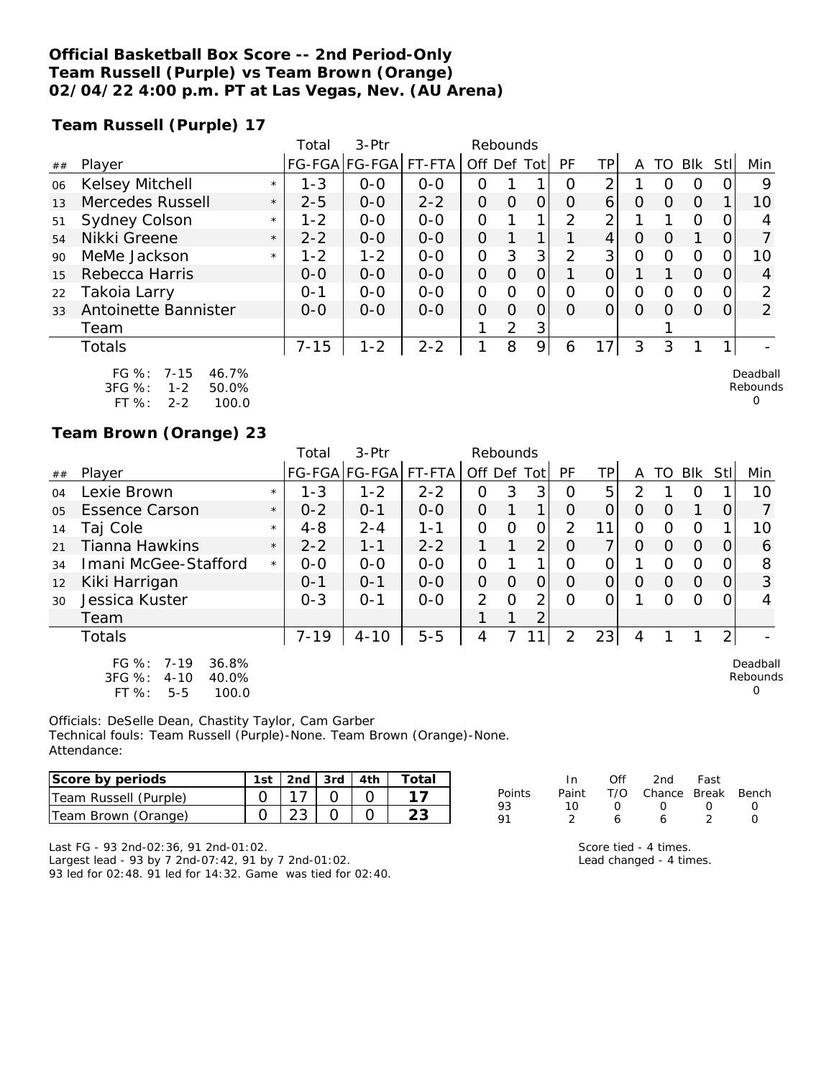#### **Official Basketball Box Score -- 2nd Period-Only Team Russell (Purple) vs Team Brown (Orange) 02/04/22 4:00 p.m. PT at Las Vegas, Nev. (AU Arena)**

**Team Russell (Purple) 17**

|    |                                                                                               |         | Total    | $3-$ Ptr      |         | Rebounds       |                |   |          |    |          |          |          |     |                      |
|----|-----------------------------------------------------------------------------------------------|---------|----------|---------------|---------|----------------|----------------|---|----------|----|----------|----------|----------|-----|----------------------|
| ## | Player                                                                                        |         |          | FG-FGA FG-FGA | FT-FTA  | Off Def Tot    |                |   | PF       | ΤP | A        | TO       | Blk      | Stl | Min                  |
| 06 | Kelsey Mitchell                                                                               | $\star$ | $1 - 3$  | $0 - 0$       | $O - O$ | 0              |                |   | Ω        | ⌒  |          | Ω        | $\circ$  |     | 9                    |
| 13 | <b>Mercedes Russell</b>                                                                       | $\star$ | $2 - 5$  | $0 - 0$       | $2 - 2$ | 0              | O              | O | Ω        | 6  | O        | $\Omega$ | $\Omega$ |     | 10                   |
| 51 | <b>Sydney Colson</b>                                                                          | $\star$ | $1 - 2$  | $0 - 0$       | $O - O$ | 0              |                |   | 2        | ⌒  |          |          | $\Omega$ |     |                      |
| 54 | Nikki Greene                                                                                  | $\star$ | $2 - 2$  | $0 - 0$       | $0 - 0$ | $\overline{O}$ |                | 1 |          | 4  | $\Omega$ | 0        |          | O   |                      |
| 90 | MeMe Jackson                                                                                  | $\star$ | $1 - 2$  | $1 - 2$       | $0 - 0$ | 0              | 3              | 3 | 2        | 3  | O        | 0        | 0        |     | 10                   |
| 15 | Rebecca Harris                                                                                |         | $0 - 0$  | $0 - 0$       | $0 - 0$ | $\overline{O}$ | O              | 0 |          | 0  |          |          | $\Omega$ | 0   | 4                    |
| 22 | Takoia Larry                                                                                  |         | $0 - 1$  | $0 - 0$       | $0 - 0$ | 0              | Ω              | O | ∩        | Ω  | O        | 0        | $\Omega$ |     | 2                    |
| 33 | Antoinette Bannister                                                                          |         | $0 - 0$  | $0 - 0$       | $0 - 0$ | 0              | $\Omega$       | Ω | $\Omega$ | 0  | 0        | $\Omega$ | $\Omega$ | O   | 2                    |
|    | Team                                                                                          |         |          |               |         |                | $\overline{2}$ | 3 |          |    |          |          |          |     |                      |
|    | Totals                                                                                        |         | $7 - 15$ | $1 - 2$       | $2 - 2$ |                | 8              | 9 | 6        | 17 | 3        | 3        |          |     |                      |
|    | $FG \%$ :<br>46.7%<br>$7 - 15$<br>$3FG \%$<br>$1 - 2$<br>50.0%<br>ET OZ .<br>っっ<br>100 $\cap$ |         |          |               |         |                |                |   |          |    |          |          |          |     | Deadball<br>Rebounds |

FT %: 2-2 100.0

#### **Team Brown (Orange) 23**

|                |                                                                                        |         | Total    | 3-Ptr         |         | Rebounds       |          |                |           |                |          |          |          |                |                                  |
|----------------|----------------------------------------------------------------------------------------|---------|----------|---------------|---------|----------------|----------|----------------|-----------|----------------|----------|----------|----------|----------------|----------------------------------|
| ##             | Player                                                                                 |         |          | FG-FGA FG-FGA | FT-FTA  | Off Def Tot    |          |                | <b>PF</b> | TP             | A        | TO       | Blk      | StII           | Min                              |
| O <sub>4</sub> | Lexie Brown                                                                            | $\star$ | $1 - 3$  | $1 - 2$       | $2 - 2$ | 0              | 3        | 3              | O         | 5              | 2        |          | O        |                | 10                               |
| 05             | <b>Essence Carson</b>                                                                  | $\star$ | $0 - 2$  | $O - 1$       | $0 - 0$ | $\Omega$       |          | 1              | $\Omega$  | 0              | $\Omega$ | O        |          | 0              |                                  |
| 14             | Taj Cole                                                                               | $\star$ | $4 - 8$  | $2 - 4$       | 1-1     | 0              | 0        | O              | 2         | 11             | 0        | $\Omega$ | $\Omega$ |                | 10                               |
| 21             | <b>Tianna Hawkins</b>                                                                  | $\star$ | $2 - 2$  | $1 - 1$       | $2 - 2$ |                | 1        | $\overline{2}$ | $\Omega$  | $\overline{7}$ | $\Omega$ | $\Omega$ | $\Omega$ | 0              | 6                                |
| 34             | Imani McGee-Stafford                                                                   | $\star$ | $O-O$    | $0 - 0$       | $O-O$   | $\Omega$       |          | $\mathbf 1$    | $\Omega$  | 0              |          | O        | O        | $\Omega$       | 8                                |
| 12             | Kiki Harrigan                                                                          |         | $0 - 1$  | $O - 1$       | $0-0$   | $\overline{O}$ | $\Omega$ | $\overline{O}$ | 0         | $\overline{O}$ | $\Omega$ | 0        | 0        | O              | 3                                |
| 30             | Jessica Kuster                                                                         |         | $0 - 3$  | $O - 1$       | $0-0$   | 2              | $\Omega$ | $\overline{2}$ | ∩         | 0              |          | ∩        | $\Omega$ | 0              | 4                                |
|                | Team                                                                                   |         |          |               |         |                |          | 2              |           |                |          |          |          |                |                                  |
|                | <b>Totals</b>                                                                          |         | $7 - 19$ | $4 - 10$      | $5 - 5$ | 4              | 7        | 11             | 2         | 23             | 4        |          |          | $\overline{2}$ |                                  |
|                | $FG \%: 7-19$<br>36.8%<br>$3FG \%$<br>$4 - 10$<br>40.0%<br>$FT$ %:<br>100.0<br>$5 - 5$ |         |          |               |         |                |          |                |           |                |          |          |          |                | Deadball<br>Rebounds<br>$\Omega$ |

Officials: DeSelle Dean, Chastity Taylor, Cam Garber Technical fouls: Team Russell (Purple)-None. Team Brown (Orange)-None. Attendance:

| Score by periods      | 1st | 2nd $\sqrt{3}$ rd $\sqrt{4}$ th | Total |
|-----------------------|-----|---------------------------------|-------|
| Team Russell (Purple) |     |                                 |       |
| Team Brown (Orange)   |     |                                 |       |

|        | In.   | ∩ff | 2nd Fast               |                  |                  |
|--------|-------|-----|------------------------|------------------|------------------|
| Points | Paint |     | T/O Chance Break Bench |                  |                  |
| 93     | 10.   | O   | $\left( \right)$       | $\left( \right)$ | $\left( \right)$ |
| 91     |       | 6   | 6                      |                  | $\cap$           |

Last FG - 93 2nd-02:36, 91 2nd-01:02. Largest lead - 93 by 7 2nd-07:42, 91 by 7 2nd-01:02. 93 led for 02:48. 91 led for 14:32. Game was tied for 02:40.

| Score tied - 4 times.   |
|-------------------------|
| Lead changed - 4 times. |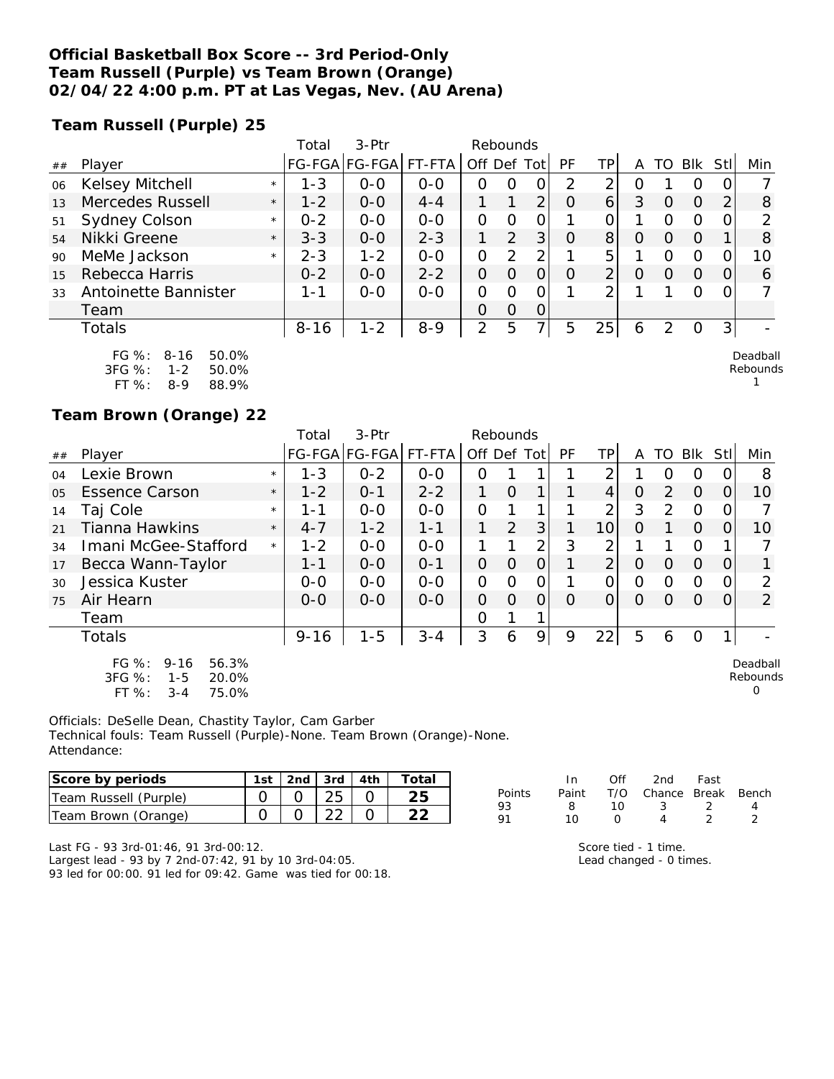#### **Official Basketball Box Score -- 3rd Period-Only Team Russell (Purple) vs Team Brown (Orange) 02/04/22 4:00 p.m. PT at Las Vegas, Nev. (AU Arena)**

**Team Russell (Purple) 25**

|    |                                                                |         | Total    | 3-Ptr                 |         |             | Rebounds       |                |    |                |   |    |          |     |                      |
|----|----------------------------------------------------------------|---------|----------|-----------------------|---------|-------------|----------------|----------------|----|----------------|---|----|----------|-----|----------------------|
| ## | Player                                                         |         |          | FG-FGA FG-FGA  FT-FTA |         | Off Def Tot |                |                | PF | TP.            | A | TO | Blk      | Stl | Min                  |
| 06 | Kelsey Mitchell                                                | $\star$ | $1 - 3$  | $0 - 0$               | $0 - 0$ | Ω           | Ω              | Ω              | 2  | ◠              | Ο |    | $\Omega$ |     |                      |
| 13 | Mercedes Russell                                               | $\star$ | $1 - 2$  | $0 - 0$               | $4 - 4$ |             |                | $\overline{2}$ | O  | 6              | 3 | 0  | $\Omega$ | 2   | 8                    |
| 51 | <b>Sydney Colson</b>                                           | $\star$ | $0 - 2$  | $0 - 0$               | $0 - 0$ | 0           | Ω              |                |    |                |   | O  | O        |     |                      |
| 54 | Nikki Greene                                                   | $\star$ | $3 - 3$  | $0 - 0$               | $2 - 3$ |             | $\overline{2}$ | 3 <sub>l</sub> | O  | 8              | 0 | 0  | $\Omega$ |     | 8                    |
| 90 | MeMe Jackson                                                   | $\star$ | $2 - 3$  | $1 - 2$               | $O-O$   | 0           | 2              | っ              |    | 5              |   | Ω  | 0        |     | 10                   |
| 15 | Rebecca Harris                                                 |         | $0 - 2$  | $0 - 0$               | $2 - 2$ | 0           | Ο              |                | O  | $\overline{2}$ | O | 0  | $\Omega$ |     | 6                    |
| 33 | Antoinette Bannister                                           |         | 1-1      | $0 - 0$               | $0 - 0$ | 0           | ∩              |                |    | ◠              |   |    | $\Omega$ |     |                      |
|    | Team                                                           |         |          |                       |         | Ο           | Ο              | 0              |    |                |   |    |          |     |                      |
|    | Totals                                                         |         | $8 - 16$ | $1 - 2$               | $8 - 9$ | 2           | 5              | 7              | 5  | 25             | 6 | っ  | 0        | 3   |                      |
|    | $FG \%$ :<br>$8 - 16$<br>50.0%<br>$3FG \%$<br>50.0%<br>$1 - 2$ |         |          |                       |         |             |                |                |    |                |   |    |          |     | Deadball<br>Rebounds |

| 3FG %:    | 1-2 | 50.0% |
|-----------|-----|-------|
| FT $\%$ : | 8-9 | 88.9% |

**Team Brown (Orange) 22**

|                |                                                                                       |         | Total    | 3-Ptr                | Rebounds |             |          |          |           |                |          |                |            |                |                                  |
|----------------|---------------------------------------------------------------------------------------|---------|----------|----------------------|----------|-------------|----------|----------|-----------|----------------|----------|----------------|------------|----------------|----------------------------------|
| ##             | Player                                                                                |         |          | FG-FGA FG-FGA FT-FTA |          | Off Def Tot |          |          | <b>PF</b> | ΤP             | A        | TO             | <b>BIK</b> | Stll           | Min                              |
| 04             | Lexie Brown                                                                           | $\star$ | $1 - 3$  | $0 - 2$              | $O - O$  | 0           |          |          |           | 2              |          | O              | $\Omega$   | 0              | 8                                |
| 0 <sub>5</sub> | <b>Essence Carson</b>                                                                 | $\star$ | $1 - 2$  | $O - 1$              | $2 - 2$  |             | $\Omega$ |          |           | $\overline{4}$ | $\Omega$ | $\overline{2}$ | $\Omega$   | $\overline{O}$ | 10                               |
| 14             | Taj Cole                                                                              | $\star$ | 1-1      | $0 - 0$              | $O - O$  | 0           |          |          |           | 2              | 3        | $\overline{2}$ | $\Omega$   | 0              |                                  |
| 21             | Tianna Hawkins                                                                        | $\star$ | $4 - 7$  | $1 - 2$              | $1 - 1$  | 1           | 2        | 3        |           | 10             | $\Omega$ |                | $\Omega$   | $\Omega$       | 10                               |
| 34             | Imani McGee-Stafford                                                                  | $\star$ | $1 - 2$  | $0 - 0$              | $O - O$  |             |          | 2        | 3         | $\overline{2}$ |          |                | $\Omega$   |                |                                  |
| 17             | Becca Wann-Taylor                                                                     |         | $1 - 1$  | $O-O$                | $O - 1$  | 0           | $\Omega$ | $\Omega$ |           | 2              | $\Omega$ | $\Omega$       | $\Omega$   | $\Omega$       |                                  |
| 30             | Jessica Kuster                                                                        |         | $0 - 0$  | $0 - 0$              | $0 - 0$  | 0           | $\Omega$ | 0        |           | O              | 0        | $\Omega$       | $\Omega$   | 0              | $\overline{2}$                   |
| 75             | Air Hearn                                                                             |         | $0 - 0$  | $0 - 0$              | $0 - 0$  | $\Omega$    | $\Omega$ | $\Omega$ | $\Omega$  | $\Omega$       | $\Omega$ | $\Omega$       | $\Omega$   | $\Omega$       | 2                                |
|                | Team                                                                                  |         |          |                      |          | O           |          |          |           |                |          |                |            |                |                                  |
|                | Totals                                                                                |         | $9 - 16$ | $1 - 5$              | $3 - 4$  | 3           | 6        | 9        | 9         | 22             | 5        | 6              | $\Omega$   | 1              |                                  |
|                | 56.3%<br>FG %:<br>$9 - 16$<br>3FG %:<br>20.0%<br>$1 - 5$<br>FT %:<br>75.0%<br>$3 - 4$ |         |          |                      |          |             |          |          |           |                |          |                |            |                | Deadball<br>Rebounds<br>$\Omega$ |

Officials: DeSelle Dean, Chastity Taylor, Cam Garber Technical fouls: Team Russell (Purple)-None. Team Brown (Orange)-None. Attendance:

| Score by periods      | 1st | 2nd $\frac{1}{3}$ 3rd $\frac{1}{4}$ 4th | Total |
|-----------------------|-----|-----------------------------------------|-------|
| Team Russell (Purple) |     |                                         |       |
| Team Brown (Orange)   |     |                                         |       |

|        | In. | Off    | 2nd Fast                     |                |  |
|--------|-----|--------|------------------------------|----------------|--|
| Points |     |        | Paint T/O Chance Break Bench |                |  |
| 93     | 8.  | ່ 10   | - 3 -                        | $\overline{2}$ |  |
| 91     | 10  | $\cap$ | $\Lambda$                    | - 2            |  |

1

Last FG - 93 3rd-01:46, 91 3rd-00:12.

Largest lead - 93 by 7 2nd-07:42, 91 by 10 3rd-04:05. 93 led for 00:00. 91 led for 09:42. Game was tied for 00:18.

| Score tied - 1 time.    |  |
|-------------------------|--|
| Lead changed - 0 times. |  |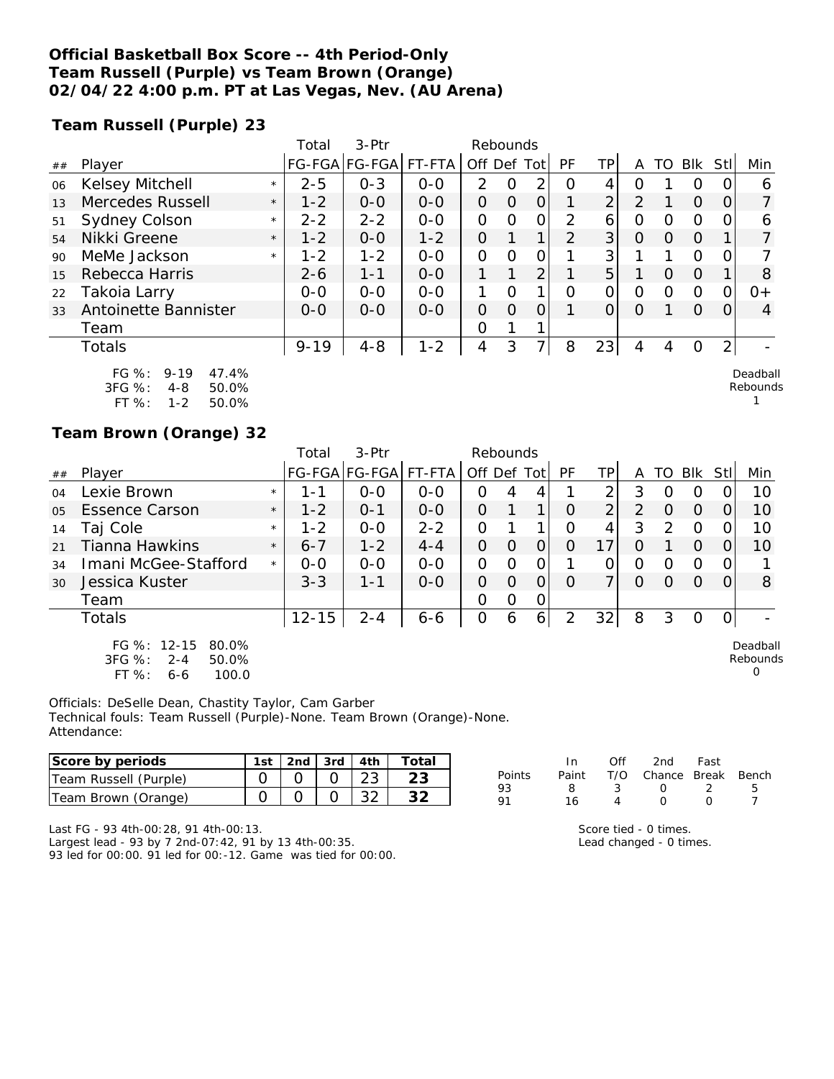#### **Official Basketball Box Score -- 4th Period-Only Team Russell (Purple) vs Team Brown (Orange) 02/04/22 4:00 p.m. PT at Las Vegas, Nev. (AU Arena)**

**Team Russell (Purple) 23**

|    |                                                              |         | Total    | $3-Ptr$               |         | Rebounds    |          |                |               |                |          |          |          |      |                      |
|----|--------------------------------------------------------------|---------|----------|-----------------------|---------|-------------|----------|----------------|---------------|----------------|----------|----------|----------|------|----------------------|
| ## | Player                                                       |         |          | FG-FGA FG-FGA  FT-FTA |         | Off Def Tot |          |                | PF            | ТP             | A        |          | TO BIK   | Stll | Min                  |
| 06 | Kelsey Mitchell                                              | $\star$ | $2 - 5$  | $0 - 3$               | $0 - 0$ | 2           |          | ⌒              | Ω             | 4              | O        |          | O        |      | Ô                    |
| 13 | Mercedes Russell                                             | $\star$ | $1 - 2$  | $0 - 0$               | $0 - 0$ | O           | $\Omega$ | 0              |               | $\overline{2}$ | 2        |          | $\Omega$ |      |                      |
| 51 | Sydney Colson                                                | $\star$ | $2 - 2$  | $2 - 2$               | $0 - 0$ | 0           | Ω        | Ο              | 2             | 6              | 0        | $\Omega$ | $\circ$  |      | 6                    |
| 54 | Nikki Greene                                                 | $\star$ | $1 - 2$  | $0 - 0$               | $1 - 2$ | 0           |          | 1 <sub>1</sub> | $\mathcal{P}$ | 3              | O        | 0        | $\Omega$ |      |                      |
| 90 | MeMe Jackson                                                 | $\star$ | $1 - 2$  | $1 - 2$               | $0 - 0$ | $\Omega$    | 0        | 0              |               | 3 <sup>1</sup> |          |          | $\Omega$ |      |                      |
| 15 | Rebecca Harris                                               |         | $2 - 6$  | $1 - 1$               | $0 - 0$ |             | 1        | $\overline{2}$ |               | 5              |          | $\Omega$ | $\Omega$ |      | 8                    |
| 22 | Takoia Larry                                                 |         | $0 - 0$  | $O-O$                 | $0 - 0$ |             | Ω        | 1              | $\Omega$      | 0              | 0        | $\Omega$ | $\Omega$ | O    | $0+$                 |
| 33 | Antoinette Bannister                                         |         | $0 - 0$  | $0 - 0$               | $0 - 0$ | O           | $\Omega$ | O              |               | 0              | $\Omega$ |          | $\Omega$ | O    | 4                    |
|    | Team                                                         |         |          |                       |         | 0           |          |                |               |                |          |          |          |      |                      |
|    | Totals                                                       |         | $9 - 19$ | $4 - 8$               | $1 - 2$ | 4           | 3        | 7 <sub>1</sub> | 8             | 23             | 4        | 4        | 0        | 2    |                      |
|    | $FG \%$ :<br>$9 - 19$<br>47.4%<br>3FG %:<br>50.0%<br>$4 - 8$ |         |          |                       |         |             |          |                |               |                |          |          |          |      | Deadball<br>Rebounds |

FT %: 1-2 50.0%

#### **Team Brown (Orange) 32**

|                |                                                                                 |         | Total     | 3-Ptr                | Rebounds |             |          |                 |                |                |   |               |            |     |                           |
|----------------|---------------------------------------------------------------------------------|---------|-----------|----------------------|----------|-------------|----------|-----------------|----------------|----------------|---|---------------|------------|-----|---------------------------|
| ##             | Player                                                                          |         |           | FG-FGA FG-FGA FT-FTA |          | Off Def Tot |          |                 | PF             | TP.            | A | TO            | <b>BIK</b> | Stl | Min                       |
| 04             | Lexie Brown                                                                     | $\star$ | 1 - 1     | $0 - 0$              | $O - O$  | 0           | 4        |                 |                | ⌒              | 3 | ი             | O          |     | 10                        |
| 0 <sub>5</sub> | <b>Essence Carson</b>                                                           | $\star$ | $1 - 2$   | $O - 1$              | $0 - 0$  | 0           |          | 1               | Ω              | $\overline{2}$ | 2 | O             | $\Omega$   | O   | 10                        |
| 14             | Taj Cole                                                                        | $\star$ | $1 - 2$   | $0 - 0$              | $2 - 2$  | O           |          | 1               | Ω              | 4              | 3 | $\mathcal{P}$ | $\Omega$   | Ω   | 10                        |
| 21             | Tianna Hawkins                                                                  | $\star$ | $6 - 7$   | $1 - 2$              | $4 - 4$  | 0           | O        | 0               | 0              | 17             | Ο |               | $\Omega$   |     | 10                        |
| 34             | Imani McGee-Stafford                                                            | $\star$ | $O-O$     | $0 - 0$              | $O - O$  | 0           | Ω        | 0               |                |                | ი | Ω             | 0          |     |                           |
| 30             | Jessica Kuster                                                                  |         | $3 - 3$   | $1 - 1$              | $0 - 0$  | 0           | $\Omega$ | O               | Ω              | ⇁              | Ω | O             | $\Omega$   | Ω   | 8                         |
|                | Team                                                                            |         |           |                      |          | 0           | Ο        | 0               |                |                |   |               |            |     |                           |
|                | Totals                                                                          |         | $12 - 15$ | $2 - 4$              | $6 - 6$  | 0           | 6        | $\vert 6 \vert$ | $\overline{2}$ | 32             | 8 | 3             | 0          |     |                           |
|                | FG %: 12-15<br>80.0%<br>3FG %:<br>$2 - 4$<br>50.0%<br>FT %:<br>100.0<br>$6 - 6$ |         |           |                      |          |             |          |                 |                |                |   |               |            |     | Deadball<br>Rebounds<br>0 |

Officials: DeSelle Dean, Chastity Taylor, Cam Garber Technical fouls: Team Russell (Purple)-None. Team Brown (Orange)-None. Attendance:

| Score by periods      | 1st i | <sup>ว</sup> nd เ | 3rd | 4th         | otal |        |       | Of  | 2nd    | Fast  |       |
|-----------------------|-------|-------------------|-----|-------------|------|--------|-------|-----|--------|-------|-------|
| Team Russell (Purple) |       |                   |     | ົດລ<br>∠J   | つつ   | Points | Paint | T/O | Chance | Break | Bench |
| Team Brown (Orange)   |       |                   |     | $\cap$<br>ັ | າ າ  |        |       |     |        |       |       |

Last FG - 93 4th-00:28, 91 4th-00:13.

Largest lead - 93 by 7 2nd-07:42, 91 by 13 4th-00:35. 93 led for 00:00. 91 led for 00:-12. Game was tied for 00:00.

| 8 <sup>8</sup> | 3 0            |                | $\overline{2}$ |  |
|----------------|----------------|----------------|----------------|--|
| 16             | $\overline{4}$ | $\overline{0}$ | $\overline{O}$ |  |
|                |                |                |                |  |
|                |                |                |                |  |

Score tied - 0 times. Lead changed - 0 times. ں<br>1